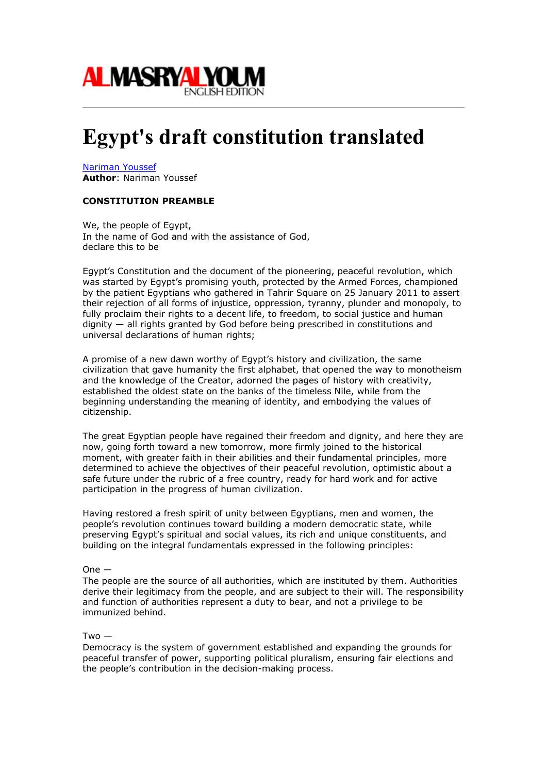

# **Egypt's draft constitution translated**

[Nariman Youssef](http://www.egyptindependent.com/staff/nariman-youssef) **Author**: Nariman Youssef

## **CONSTITUTION PREAMBLE**

We, the people of Egypt, In the name of God and with the assistance of God, declare this to be

Egypt's Constitution and the document of the pioneering, peaceful revolution, which was started by Egypt's promising youth, protected by the Armed Forces, championed by the patient Egyptians who gathered in Tahrir Square on 25 January 2011 to assert their rejection of all forms of injustice, oppression, tyranny, plunder and monopoly, to fully proclaim their rights to a decent life, to freedom, to social justice and human dignity — all rights granted by God before being prescribed in constitutions and universal declarations of human rights;

A promise of a new dawn worthy of Egypt's history and civilization, the same civilization that gave humanity the first alphabet, that opened the way to monotheism and the knowledge of the Creator, adorned the pages of history with creativity, established the oldest state on the banks of the timeless Nile, while from the beginning understanding the meaning of identity, and embodying the values of citizenship.

The great Egyptian people have regained their freedom and dignity, and here they are now, going forth toward a new tomorrow, more firmly joined to the historical moment, with greater faith in their abilities and their fundamental principles, more determined to achieve the objectives of their peaceful revolution, optimistic about a safe future under the rubric of a free country, ready for hard work and for active participation in the progress of human civilization.

Having restored a fresh spirit of unity between Egyptians, men and women, the people's revolution continues toward building a modern democratic state, while preserving Egypt's spiritual and social values, its rich and unique constituents, and building on the integral fundamentals expressed in the following principles:

#### One —

The people are the source of all authorities, which are instituted by them. Authorities derive their legitimacy from the people, and are subject to their will. The responsibility and function of authorities represent a duty to bear, and not a privilege to be immunized behind.

#### Two —

Democracy is the system of government established and expanding the grounds for peaceful transfer of power, supporting political pluralism, ensuring fair elections and the people's contribution in the decision-making process.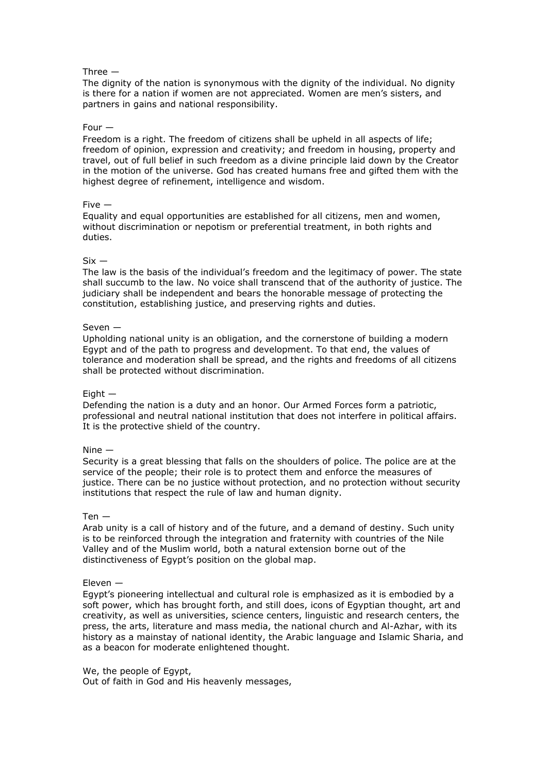## Three —

The dignity of the nation is synonymous with the dignity of the individual. No dignity is there for a nation if women are not appreciated. Women are men's sisters, and partners in gains and national responsibility.

## Four —

Freedom is a right. The freedom of citizens shall be upheld in all aspects of life; freedom of opinion, expression and creativity; and freedom in housing, property and travel, out of full belief in such freedom as a divine principle laid down by the Creator in the motion of the universe. God has created humans free and gifted them with the highest degree of refinement, intelligence and wisdom.

#### Five —

Equality and equal opportunities are established for all citizens, men and women, without discrimination or nepotism or preferential treatment, in both rights and duties.

#### Six —

The law is the basis of the individual's freedom and the legitimacy of power. The state shall succumb to the law. No voice shall transcend that of the authority of justice. The judiciary shall be independent and bears the honorable message of protecting the constitution, establishing justice, and preserving rights and duties.

## Seven —

Upholding national unity is an obligation, and the cornerstone of building a modern Egypt and of the path to progress and development. To that end, the values of tolerance and moderation shall be spread, and the rights and freedoms of all citizens shall be protected without discrimination.

## $Eight$

Defending the nation is a duty and an honor. Our Armed Forces form a patriotic, professional and neutral national institution that does not interfere in political affairs. It is the protective shield of the country.

## Nine —

Security is a great blessing that falls on the shoulders of police. The police are at the service of the people; their role is to protect them and enforce the measures of justice. There can be no justice without protection, and no protection without security institutions that respect the rule of law and human dignity.

#### $Ten -$

Arab unity is a call of history and of the future, and a demand of destiny. Such unity is to be reinforced through the integration and fraternity with countries of the Nile Valley and of the Muslim world, both a natural extension borne out of the distinctiveness of Egypt's position on the global map.

#### Eleven —

Egypt's pioneering intellectual and cultural role is emphasized as it is embodied by a soft power, which has brought forth, and still does, icons of Egyptian thought, art and creativity, as well as universities, science centers, linguistic and research centers, the press, the arts, literature and mass media, the national church and Al-Azhar, with its history as a mainstay of national identity, the Arabic language and Islamic Sharia, and as a beacon for moderate enlightened thought.

## We, the people of Egypt,

Out of faith in God and His heavenly messages,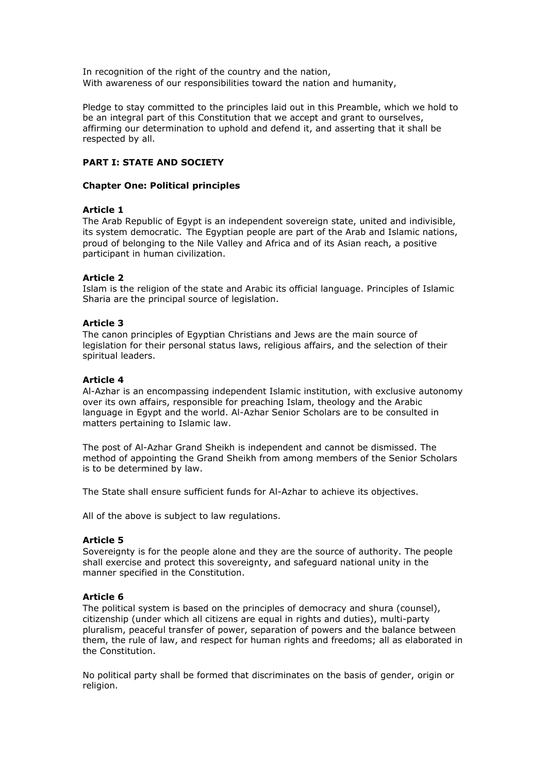In recognition of the right of the country and the nation, With awareness of our responsibilities toward the nation and humanity,

Pledge to stay committed to the principles laid out in this Preamble, which we hold to be an integral part of this Constitution that we accept and grant to ourselves, affirming our determination to uphold and defend it, and asserting that it shall be respected by all.

# **PART I: STATE AND SOCIETY**

# **Chapter One: Political principles**

# **Article 1**

The Arab Republic of Egypt is an independent sovereign state, united and indivisible, its system democratic. The Egyptian people are part of the Arab and Islamic nations, proud of belonging to the Nile Valley and Africa and of its Asian reach, a positive participant in human civilization.

# **Article 2**

Islam is the religion of the state and Arabic its official language. Principles of Islamic Sharia are the principal source of legislation.

# **Article 3**

The canon principles of Egyptian Christians and Jews are the main source of legislation for their personal status laws, religious affairs, and the selection of their spiritual leaders.

# **Article 4**

Al-Azhar is an encompassing independent Islamic institution, with exclusive autonomy over its own affairs, responsible for preaching Islam, theology and the Arabic language in Egypt and the world. Al-Azhar Senior Scholars are to be consulted in matters pertaining to Islamic law.

The post of Al-Azhar Grand Sheikh is independent and cannot be dismissed. The method of appointing the Grand Sheikh from among members of the Senior Scholars is to be determined by law.

The State shall ensure sufficient funds for Al-Azhar to achieve its objectives.

All of the above is subject to law regulations.

## **Article 5**

Sovereignty is for the people alone and they are the source of authority. The people shall exercise and protect this sovereignty, and safeguard national unity in the manner specified in the Constitution.

## **Article 6**

The political system is based on the principles of democracy and shura (counsel), citizenship (under which all citizens are equal in rights and duties), multi-party pluralism, peaceful transfer of power, separation of powers and the balance between them, the rule of law, and respect for human rights and freedoms; all as elaborated in the Constitution.

No political party shall be formed that discriminates on the basis of gender, origin or religion.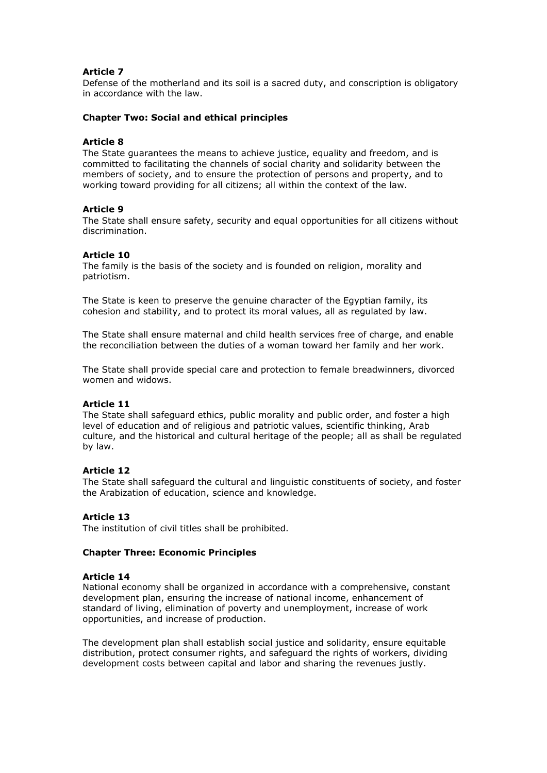Defense of the motherland and its soil is a sacred duty, and conscription is obligatory in accordance with the law.

# **Chapter Two: Social and ethical principles**

# **Article 8**

The State guarantees the means to achieve justice, equality and freedom, and is committed to facilitating the channels of social charity and solidarity between the members of society, and to ensure the protection of persons and property, and to working toward providing for all citizens; all within the context of the law.

# **Article 9**

The State shall ensure safety, security and equal opportunities for all citizens without discrimination.

# **Article 10**

The family is the basis of the society and is founded on religion, morality and patriotism.

The State is keen to preserve the genuine character of the Egyptian family, its cohesion and stability, and to protect its moral values, all as regulated by law.

The State shall ensure maternal and child health services free of charge, and enable the reconciliation between the duties of a woman toward her family and her work.

The State shall provide special care and protection to female breadwinners, divorced women and widows.

## **Article 11**

The State shall safeguard ethics, public morality and public order, and foster a high level of education and of religious and patriotic values, scientific thinking, Arab culture, and the historical and cultural heritage of the people; all as shall be regulated by law.

## **Article 12**

The State shall safeguard the cultural and linguistic constituents of society, and foster the Arabization of education, science and knowledge.

# **Article 13**

The institution of civil titles shall be prohibited.

## **Chapter Three: Economic Principles**

## **Article 14**

National economy shall be organized in accordance with a comprehensive, constant development plan, ensuring the increase of national income, enhancement of standard of living, elimination of poverty and unemployment, increase of work opportunities, and increase of production.

The development plan shall establish social justice and solidarity, ensure equitable distribution, protect consumer rights, and safeguard the rights of workers, dividing development costs between capital and labor and sharing the revenues justly.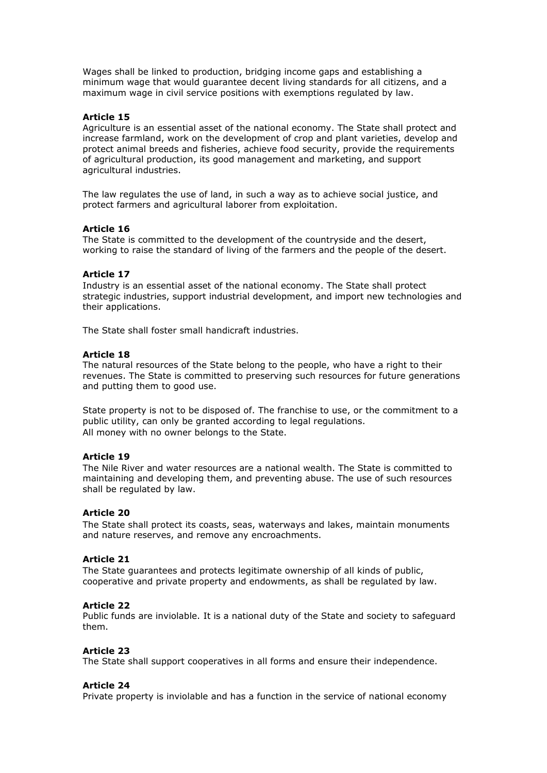Wages shall be linked to production, bridging income gaps and establishing a minimum wage that would guarantee decent living standards for all citizens, and a maximum wage in civil service positions with exemptions regulated by law.

# **Article 15**

Agriculture is an essential asset of the national economy. The State shall protect and increase farmland, work on the development of crop and plant varieties, develop and protect animal breeds and fisheries, achieve food security, provide the requirements of agricultural production, its good management and marketing, and support agricultural industries.

The law regulates the use of land, in such a way as to achieve social justice, and protect farmers and agricultural laborer from exploitation.

# **Article 16**

The State is committed to the development of the countryside and the desert, working to raise the standard of living of the farmers and the people of the desert.

# **Article 17**

Industry is an essential asset of the national economy. The State shall protect strategic industries, support industrial development, and import new technologies and their applications.

The State shall foster small handicraft industries.

## **Article 18**

The natural resources of the State belong to the people, who have a right to their revenues. The State is committed to preserving such resources for future generations and putting them to good use.

State property is not to be disposed of. The franchise to use, or the commitment to a public utility, can only be granted according to legal regulations. All money with no owner belongs to the State.

# **Article 19**

The Nile River and water resources are a national wealth. The State is committed to maintaining and developing them, and preventing abuse. The use of such resources shall be regulated by law.

# **Article 20**

The State shall protect its coasts, seas, waterways and lakes, maintain monuments and nature reserves, and remove any encroachments.

## **Article 21**

The State guarantees and protects legitimate ownership of all kinds of public, cooperative and private property and endowments, as shall be regulated by law.

## **Article 22**

Public funds are inviolable. It is a national duty of the State and society to safeguard them.

# **Article 23**

The State shall support cooperatives in all forms and ensure their independence.

## **Article 24**

Private property is inviolable and has a function in the service of national economy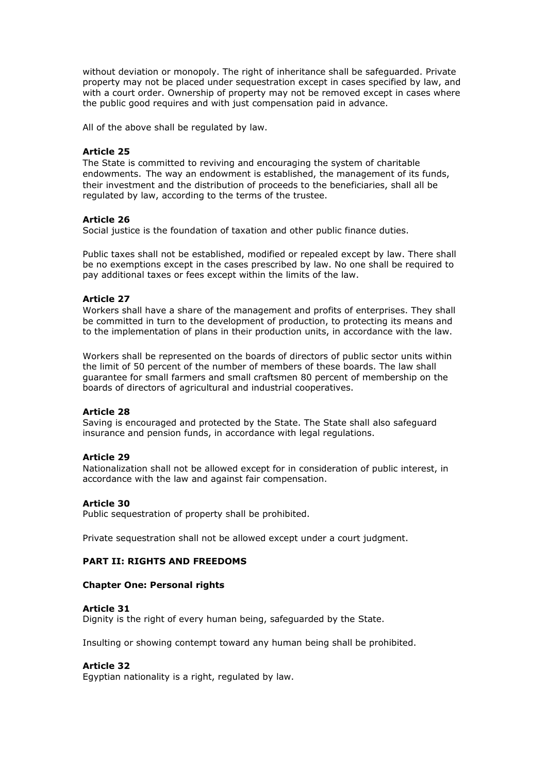without deviation or monopoly. The right of inheritance shall be safeguarded. Private property may not be placed under sequestration except in cases specified by law, and with a court order. Ownership of property may not be removed except in cases where the public good requires and with just compensation paid in advance.

All of the above shall be regulated by law.

#### **Article 25**

The State is committed to reviving and encouraging the system of charitable endowments. The way an endowment is established, the management of its funds, their investment and the distribution of proceeds to the beneficiaries, shall all be regulated by law, according to the terms of the trustee.

#### **Article 26**

Social justice is the foundation of taxation and other public finance duties.

Public taxes shall not be established, modified or repealed except by law. There shall be no exemptions except in the cases prescribed by law. No one shall be required to pay additional taxes or fees except within the limits of the law.

# **Article 27**

Workers shall have a share of the management and profits of enterprises. They shall be committed in turn to the development of production, to protecting its means and to the implementation of plans in their production units, in accordance with the law.

Workers shall be represented on the boards of directors of public sector units within the limit of 50 percent of the number of members of these boards. The law shall guarantee for small farmers and small craftsmen 80 percent of membership on the boards of directors of agricultural and industrial cooperatives.

#### **Article 28**

Saving is encouraged and protected by the State. The State shall also safeguard insurance and pension funds, in accordance with legal regulations.

# **Article 29**

Nationalization shall not be allowed except for in consideration of public interest, in accordance with the law and against fair compensation.

#### **Article 30**

Public sequestration of property shall be prohibited.

Private sequestration shall not be allowed except under a court judgment.

# **PART II: RIGHTS AND FREEDOMS**

# **Chapter One: Personal rights**

#### **Article 31**

Dignity is the right of every human being, safeguarded by the State.

Insulting or showing contempt toward any human being shall be prohibited.

#### **Article 32**

Egyptian nationality is a right, regulated by law.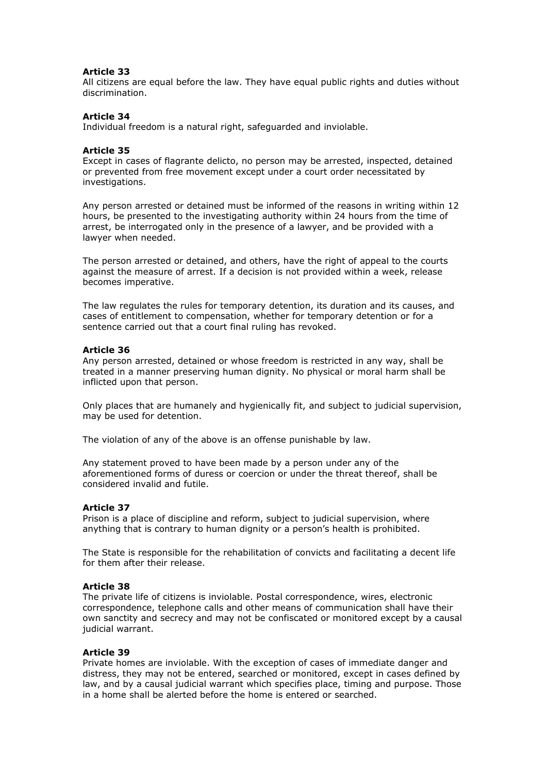All citizens are equal before the law. They have equal public rights and duties without discrimination.

# **Article 34**

Individual freedom is a natural right, safeguarded and inviolable.

# **Article 35**

Except in cases of flagrante delicto, no person may be arrested, inspected, detained or prevented from free movement except under a court order necessitated by investigations.

Any person arrested or detained must be informed of the reasons in writing within 12 hours, be presented to the investigating authority within 24 hours from the time of arrest, be interrogated only in the presence of a lawyer, and be provided with a lawyer when needed.

The person arrested or detained, and others, have the right of appeal to the courts against the measure of arrest. If a decision is not provided within a week, release becomes imperative.

The law regulates the rules for temporary detention, its duration and its causes, and cases of entitlement to compensation, whether for temporary detention or for a sentence carried out that a court final ruling has revoked.

## **Article 36**

Any person arrested, detained or whose freedom is restricted in any way, shall be treated in a manner preserving human dignity. No physical or moral harm shall be inflicted upon that person.

Only places that are humanely and hygienically fit, and subject to judicial supervision, may be used for detention.

The violation of any of the above is an offense punishable by law.

Any statement proved to have been made by a person under any of the aforementioned forms of duress or coercion or under the threat thereof, shall be considered invalid and futile.

# **Article 37**

Prison is a place of discipline and reform, subject to judicial supervision, where anything that is contrary to human dignity or a person's health is prohibited.

The State is responsible for the rehabilitation of convicts and facilitating a decent life for them after their release.

## **Article 38**

The private life of citizens is inviolable. Postal correspondence, wires, electronic correspondence, telephone calls and other means of communication shall have their own sanctity and secrecy and may not be confiscated or monitored except by a causal judicial warrant.

## **Article 39**

Private homes are inviolable. With the exception of cases of immediate danger and distress, they may not be entered, searched or monitored, except in cases defined by law, and by a causal judicial warrant which specifies place, timing and purpose. Those in a home shall be alerted before the home is entered or searched.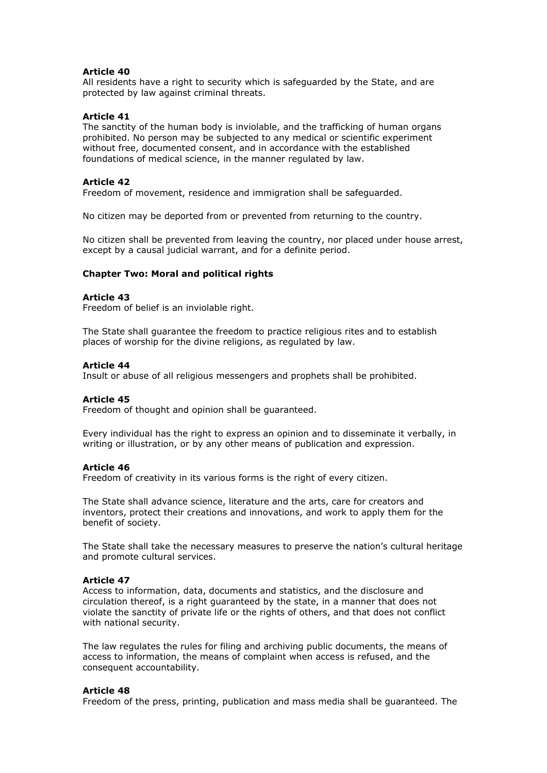All residents have a right to security which is safeguarded by the State, and are protected by law against criminal threats.

## **Article 41**

The sanctity of the human body is inviolable, and the trafficking of human organs prohibited. No person may be subjected to any medical or scientific experiment without free, documented consent, and in accordance with the established foundations of medical science, in the manner regulated by law.

# **Article 42**

Freedom of movement, residence and immigration shall be safeguarded.

No citizen may be deported from or prevented from returning to the country.

No citizen shall be prevented from leaving the country, nor placed under house arrest, except by a causal judicial warrant, and for a definite period.

# **Chapter Two: Moral and political rights**

# **Article 43**

Freedom of belief is an inviolable right.

The State shall guarantee the freedom to practice religious rites and to establish places of worship for the divine religions, as regulated by law.

## **Article 44**

Insult or abuse of all religious messengers and prophets shall be prohibited.

## **Article 45**

Freedom of thought and opinion shall be guaranteed.

Every individual has the right to express an opinion and to disseminate it verbally, in writing or illustration, or by any other means of publication and expression.

## **Article 46**

Freedom of creativity in its various forms is the right of every citizen.

The State shall advance science, literature and the arts, care for creators and inventors, protect their creations and innovations, and work to apply them for the benefit of society.

The State shall take the necessary measures to preserve the nation's cultural heritage and promote cultural services.

## **Article 47**

Access to information, data, documents and statistics, and the disclosure and circulation thereof, is a right guaranteed by the state, in a manner that does not violate the sanctity of private life or the rights of others, and that does not conflict with national security.

The law regulates the rules for filing and archiving public documents, the means of access to information, the means of complaint when access is refused, and the consequent accountability.

## **Article 48**

Freedom of the press, printing, publication and mass media shall be guaranteed. The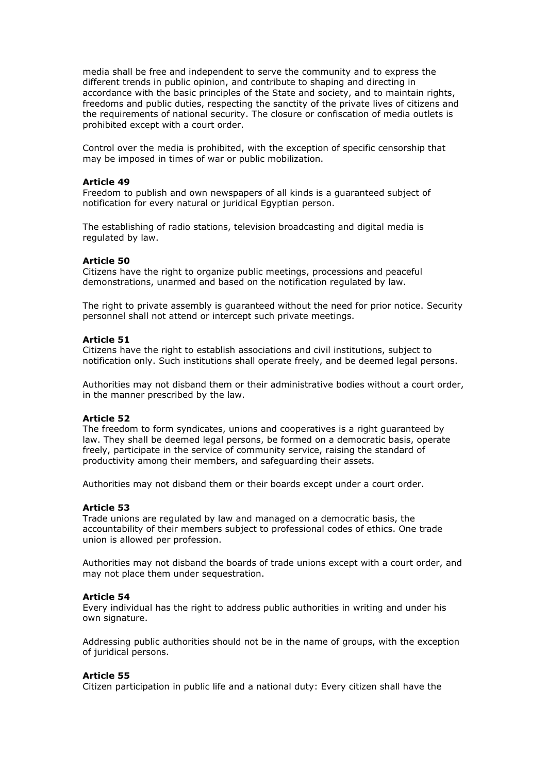media shall be free and independent to serve the community and to express the different trends in public opinion, and contribute to shaping and directing in accordance with the basic principles of the State and society, and to maintain rights, freedoms and public duties, respecting the sanctity of the private lives of citizens and the requirements of national security. The closure or confiscation of media outlets is prohibited except with a court order.

Control over the media is prohibited, with the exception of specific censorship that may be imposed in times of war or public mobilization.

#### **Article 49**

Freedom to publish and own newspapers of all kinds is a guaranteed subject of notification for every natural or juridical Egyptian person.

The establishing of radio stations, television broadcasting and digital media is regulated by law.

# **Article 50**

Citizens have the right to organize public meetings, processions and peaceful demonstrations, unarmed and based on the notification regulated by law.

The right to private assembly is guaranteed without the need for prior notice. Security personnel shall not attend or intercept such private meetings.

## **Article 51**

Citizens have the right to establish associations and civil institutions, subject to notification only. Such institutions shall operate freely, and be deemed legal persons.

Authorities may not disband them or their administrative bodies without a court order, in the manner prescribed by the law.

# **Article 52**

The freedom to form syndicates, unions and cooperatives is a right guaranteed by law. They shall be deemed legal persons, be formed on a democratic basis, operate freely, participate in the service of community service, raising the standard of productivity among their members, and safeguarding their assets.

Authorities may not disband them or their boards except under a court order.

#### **Article 53**

Trade unions are regulated by law and managed on a democratic basis, the accountability of their members subject to professional codes of ethics. One trade union is allowed per profession.

Authorities may not disband the boards of trade unions except with a court order, and may not place them under sequestration.

#### **Article 54**

Every individual has the right to address public authorities in writing and under his own signature.

Addressing public authorities should not be in the name of groups, with the exception of juridical persons.

#### **Article 55**

Citizen participation in public life and a national duty: Every citizen shall have the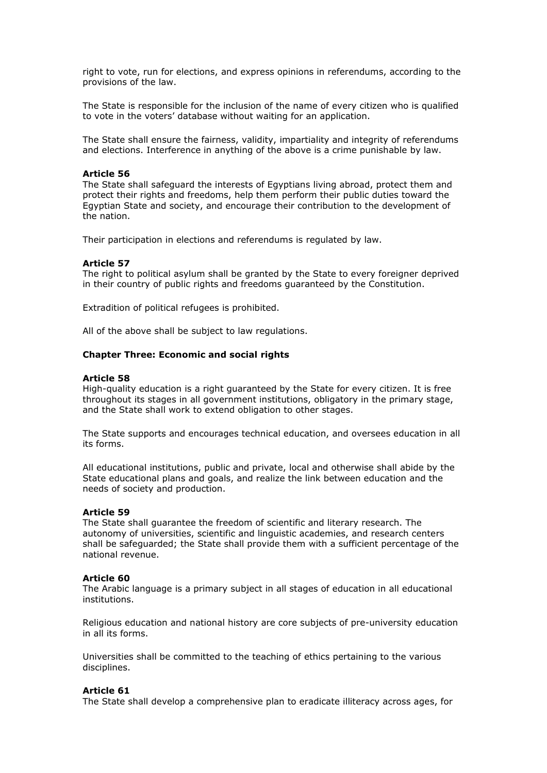right to vote, run for elections, and express opinions in referendums, according to the provisions of the law.

The State is responsible for the inclusion of the name of every citizen who is qualified to vote in the voters' database without waiting for an application.

The State shall ensure the fairness, validity, impartiality and integrity of referendums and elections. Interference in anything of the above is a crime punishable by law.

#### **Article 56**

The State shall safeguard the interests of Egyptians living abroad, protect them and protect their rights and freedoms, help them perform their public duties toward the Egyptian State and society, and encourage their contribution to the development of the nation.

Their participation in elections and referendums is regulated by law.

## **Article 57**

The right to political asylum shall be granted by the State to every foreigner deprived in their country of public rights and freedoms guaranteed by the Constitution.

Extradition of political refugees is prohibited.

All of the above shall be subject to law regulations.

#### **Chapter Three: Economic and social rights**

## **Article 58**

High-quality education is a right guaranteed by the State for every citizen. It is free throughout its stages in all government institutions, obligatory in the primary stage, and the State shall work to extend obligation to other stages.

The State supports and encourages technical education, and oversees education in all its forms.

All educational institutions, public and private, local and otherwise shall abide by the State educational plans and goals, and realize the link between education and the needs of society and production.

#### **Article 59**

The State shall guarantee the freedom of scientific and literary research. The autonomy of universities, scientific and linguistic academies, and research centers shall be safeguarded; the State shall provide them with a sufficient percentage of the national revenue.

#### **Article 60**

The Arabic language is a primary subject in all stages of education in all educational institutions.

Religious education and national history are core subjects of pre-university education in all its forms.

Universities shall be committed to the teaching of ethics pertaining to the various disciplines.

#### **Article 61**

The State shall develop a comprehensive plan to eradicate illiteracy across ages, for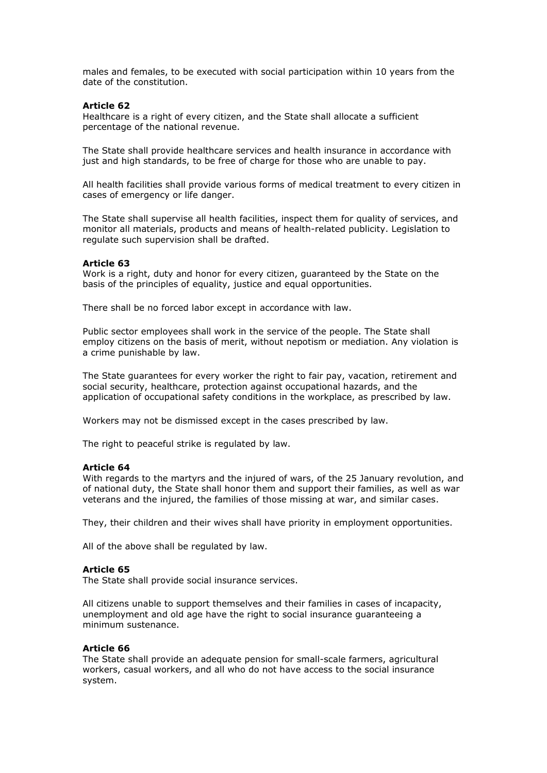males and females, to be executed with social participation within 10 years from the date of the constitution.

# **Article 62**

Healthcare is a right of every citizen, and the State shall allocate a sufficient percentage of the national revenue.

The State shall provide healthcare services and health insurance in accordance with just and high standards, to be free of charge for those who are unable to pay.

All health facilities shall provide various forms of medical treatment to every citizen in cases of emergency or life danger.

The State shall supervise all health facilities, inspect them for quality of services, and monitor all materials, products and means of health-related publicity. Legislation to regulate such supervision shall be drafted.

## **Article 63**

Work is a right, duty and honor for every citizen, guaranteed by the State on the basis of the principles of equality, justice and equal opportunities.

There shall be no forced labor except in accordance with law.

Public sector employees shall work in the service of the people. The State shall employ citizens on the basis of merit, without nepotism or mediation. Any violation is a crime punishable by law.

The State guarantees for every worker the right to fair pay, vacation, retirement and social security, healthcare, protection against occupational hazards, and the application of occupational safety conditions in the workplace, as prescribed by law.

Workers may not be dismissed except in the cases prescribed by law.

The right to peaceful strike is regulated by law.

## **Article 64**

With regards to the martyrs and the injured of wars, of the 25 January revolution, and of national duty, the State shall honor them and support their families, as well as war veterans and the injured, the families of those missing at war, and similar cases.

They, their children and their wives shall have priority in employment opportunities.

All of the above shall be regulated by law.

## **Article 65**

The State shall provide social insurance services.

All citizens unable to support themselves and their families in cases of incapacity, unemployment and old age have the right to social insurance guaranteeing a minimum sustenance.

## **Article 66**

The State shall provide an adequate pension for small-scale farmers, agricultural workers, casual workers, and all who do not have access to the social insurance system.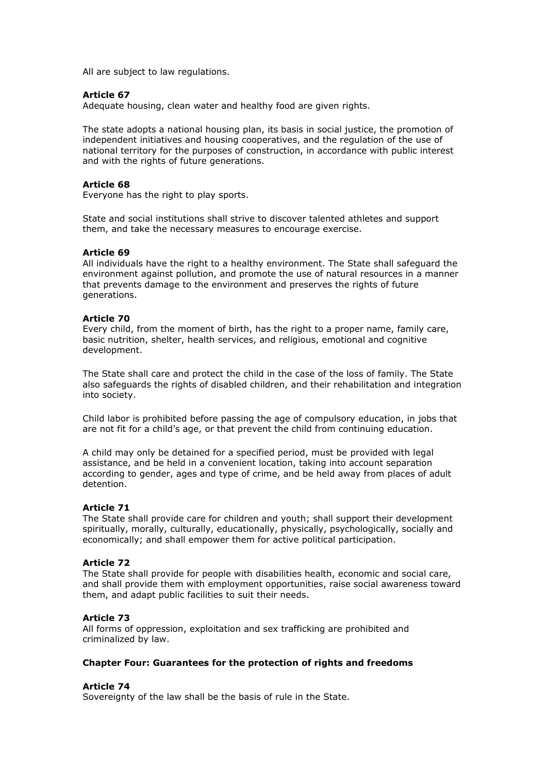All are subject to law regulations.

# **Article 67**

Adequate housing, clean water and healthy food are given rights.

The state adopts a national housing plan, its basis in social justice, the promotion of independent initiatives and housing cooperatives, and the regulation of the use of national territory for the purposes of construction, in accordance with public interest and with the rights of future generations.

# **Article 68**

Everyone has the right to play sports.

State and social institutions shall strive to discover talented athletes and support them, and take the necessary measures to encourage exercise.

# **Article 69**

All individuals have the right to a healthy environment. The State shall safeguard the environment against pollution, and promote the use of natural resources in a manner that prevents damage to the environment and preserves the rights of future generations.

# **Article 70**

Every child, from the moment of birth, has the right to a proper name, family care, basic nutrition, shelter, health services, and religious, emotional and cognitive development.

The State shall care and protect the child in the case of the loss of family. The State also safeguards the rights of disabled children, and their rehabilitation and integration into society.

Child labor is prohibited before passing the age of compulsory education, in jobs that are not fit for a child's age, or that prevent the child from continuing education.

A child may only be detained for a specified period, must be provided with legal assistance, and be held in a convenient location, taking into account separation according to gender, ages and type of crime, and be held away from places of adult detention.

# **Article 71**

The State shall provide care for children and youth; shall support their development spiritually, morally, culturally, educationally, physically, psychologically, socially and economically; and shall empower them for active political participation.

## **Article 72**

The State shall provide for people with disabilities health, economic and social care, and shall provide them with employment opportunities, raise social awareness toward them, and adapt public facilities to suit their needs.

## **Article 73**

All forms of oppression, exploitation and sex trafficking are prohibited and criminalized by law.

## **Chapter Four: Guarantees for the protection of rights and freedoms**

## **Article 74**

Sovereignty of the law shall be the basis of rule in the State.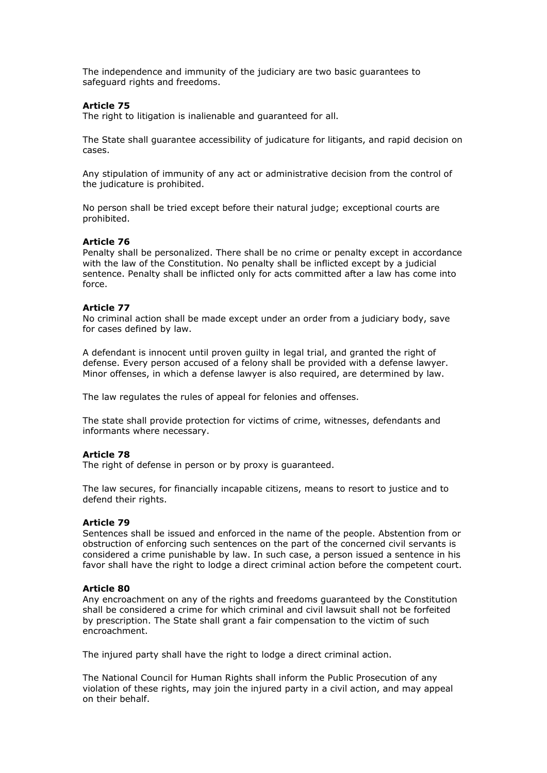The independence and immunity of the judiciary are two basic guarantees to safeguard rights and freedoms.

# **Article 75**

The right to litigation is inalienable and guaranteed for all.

The State shall guarantee accessibility of judicature for litigants, and rapid decision on cases.

Any stipulation of immunity of any act or administrative decision from the control of the judicature is prohibited.

No person shall be tried except before their natural judge; exceptional courts are prohibited.

## **Article 76**

Penalty shall be personalized. There shall be no crime or penalty except in accordance with the law of the Constitution. No penalty shall be inflicted except by a judicial sentence. Penalty shall be inflicted only for acts committed after a law has come into force.

## **Article 77**

No criminal action shall be made except under an order from a judiciary body, save for cases defined by law.

A defendant is innocent until proven guilty in legal trial, and granted the right of defense. Every person accused of a felony shall be provided with a defense lawyer. Minor offenses, in which a defense lawyer is also required, are determined by law.

The law regulates the rules of appeal for felonies and offenses.

The state shall provide protection for victims of crime, witnesses, defendants and informants where necessary.

## **Article 78**

The right of defense in person or by proxy is guaranteed.

The law secures, for financially incapable citizens, means to resort to justice and to defend their rights.

## **Article 79**

Sentences shall be issued and enforced in the name of the people. Abstention from or obstruction of enforcing such sentences on the part of the concerned civil servants is considered a crime punishable by law. In such case, a person issued a sentence in his favor shall have the right to lodge a direct criminal action before the competent court.

## **Article 80**

Any encroachment on any of the rights and freedoms guaranteed by the Constitution shall be considered a crime for which criminal and civil lawsuit shall not be forfeited by prescription. The State shall grant a fair compensation to the victim of such encroachment.

The injured party shall have the right to lodge a direct criminal action.

The National Council for Human Rights shall inform the Public Prosecution of any violation of these rights, may join the injured party in a civil action, and may appeal on their behalf.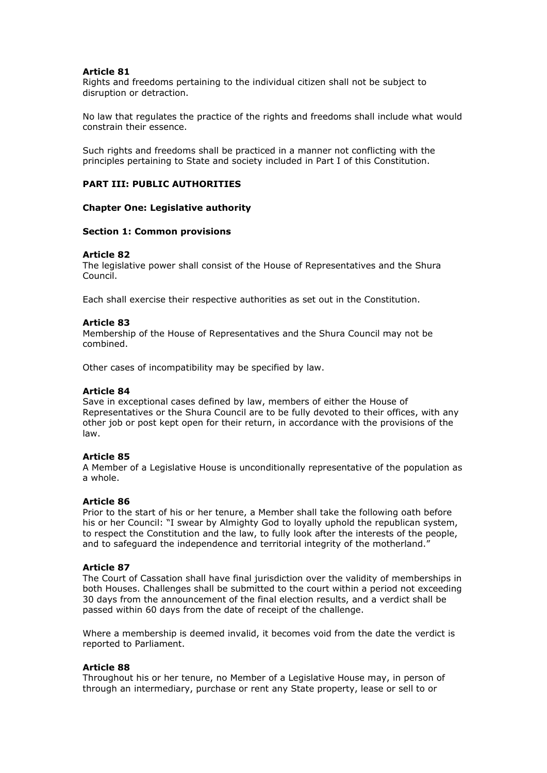Rights and freedoms pertaining to the individual citizen shall not be subject to disruption or detraction.

No law that regulates the practice of the rights and freedoms shall include what would constrain their essence.

Such rights and freedoms shall be practiced in a manner not conflicting with the principles pertaining to State and society included in Part I of this Constitution.

# **PART III: PUBLIC AUTHORITIES**

## **Chapter One: Legislative authority**

## **Section 1: Common provisions**

# **Article 82**

The legislative power shall consist of the House of Representatives and the Shura Council.

Each shall exercise their respective authorities as set out in the Constitution.

## **Article 83**

Membership of the House of Representatives and the Shura Council may not be combined.

Other cases of incompatibility may be specified by law.

## **Article 84**

Save in exceptional cases defined by law, members of either the House of Representatives or the Shura Council are to be fully devoted to their offices, with any other job or post kept open for their return, in accordance with the provisions of the law.

## **Article 85**

A Member of a Legislative House is unconditionally representative of the population as a whole.

## **Article 86**

Prior to the start of his or her tenure, a Member shall take the following oath before his or her Council: "I swear by Almighty God to loyally uphold the republican system, to respect the Constitution and the law, to fully look after the interests of the people, and to safeguard the independence and territorial integrity of the motherland."

## **Article 87**

The Court of Cassation shall have final jurisdiction over the validity of memberships in both Houses. Challenges shall be submitted to the court within a period not exceeding 30 days from the announcement of the final election results, and a verdict shall be passed within 60 days from the date of receipt of the challenge.

Where a membership is deemed invalid, it becomes void from the date the verdict is reported to Parliament.

## **Article 88**

Throughout his or her tenure, no Member of a Legislative House may, in person of through an intermediary, purchase or rent any State property, lease or sell to or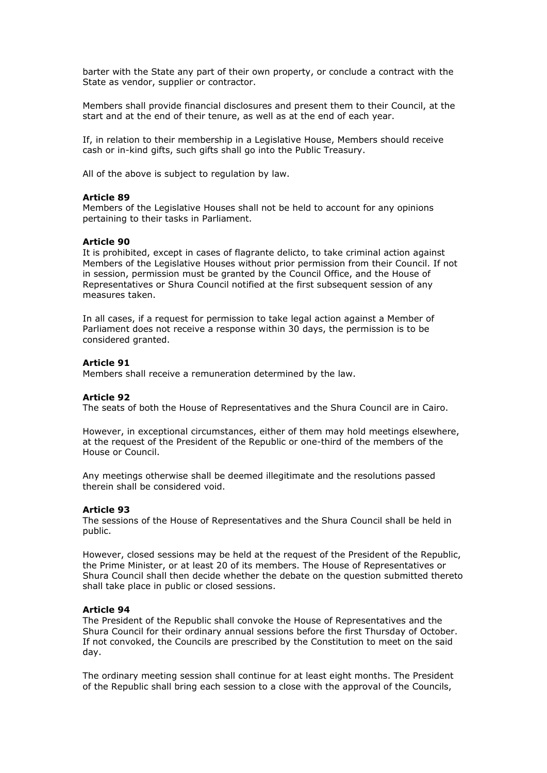barter with the State any part of their own property, or conclude a contract with the State as vendor, supplier or contractor.

Members shall provide financial disclosures and present them to their Council, at the start and at the end of their tenure, as well as at the end of each year.

If, in relation to their membership in a Legislative House, Members should receive cash or in-kind gifts, such gifts shall go into the Public Treasury.

All of the above is subject to regulation by law.

## **Article 89**

Members of the Legislative Houses shall not be held to account for any opinions pertaining to their tasks in Parliament.

#### **Article 90**

It is prohibited, except in cases of flagrante delicto, to take criminal action against Members of the Legislative Houses without prior permission from their Council. If not in session, permission must be granted by the Council Office, and the House of Representatives or Shura Council notified at the first subsequent session of any measures taken.

In all cases, if a request for permission to take legal action against a Member of Parliament does not receive a response within 30 days, the permission is to be considered granted.

## **Article 91**

Members shall receive a remuneration determined by the law.

## **Article 92**

The seats of both the House of Representatives and the Shura Council are in Cairo.

However, in exceptional circumstances, either of them may hold meetings elsewhere, at the request of the President of the Republic or one-third of the members of the House or Council.

Any meetings otherwise shall be deemed illegitimate and the resolutions passed therein shall be considered void.

#### **Article 93**

The sessions of the House of Representatives and the Shura Council shall be held in public.

However, closed sessions may be held at the request of the President of the Republic, the Prime Minister, or at least 20 of its members. The House of Representatives or Shura Council shall then decide whether the debate on the question submitted thereto shall take place in public or closed sessions.

#### **Article 94**

The President of the Republic shall convoke the House of Representatives and the Shura Council for their ordinary annual sessions before the first Thursday of October. If not convoked, the Councils are prescribed by the Constitution to meet on the said day.

The ordinary meeting session shall continue for at least eight months. The President of the Republic shall bring each session to a close with the approval of the Councils,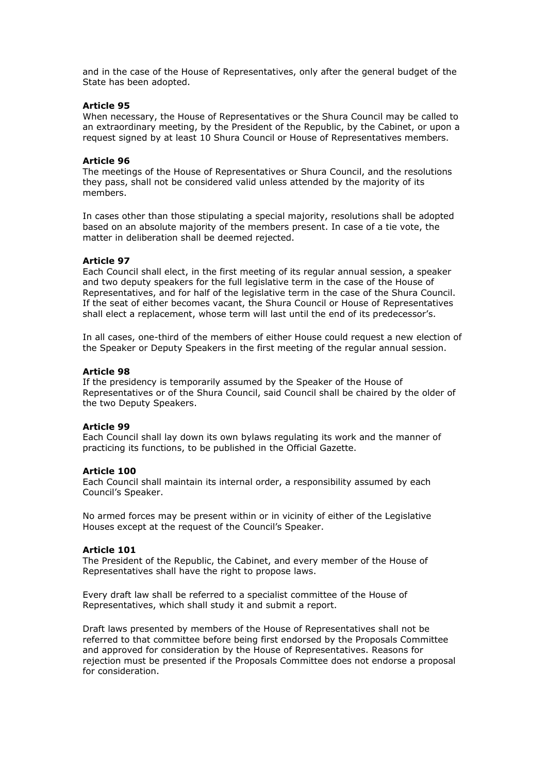and in the case of the House of Representatives, only after the general budget of the State has been adopted.

#### **Article 95**

When necessary, the House of Representatives or the Shura Council may be called to an extraordinary meeting, by the President of the Republic, by the Cabinet, or upon a request signed by at least 10 Shura Council or House of Representatives members.

#### **Article 96**

The meetings of the House of Representatives or Shura Council, and the resolutions they pass, shall not be considered valid unless attended by the majority of its members.

In cases other than those stipulating a special majority, resolutions shall be adopted based on an absolute majority of the members present. In case of a tie vote, the matter in deliberation shall be deemed rejected.

## **Article 97**

Each Council shall elect, in the first meeting of its regular annual session, a speaker and two deputy speakers for the full legislative term in the case of the House of Representatives, and for half of the legislative term in the case of the Shura Council. If the seat of either becomes vacant, the Shura Council or House of Representatives shall elect a replacement, whose term will last until the end of its predecessor's.

In all cases, one-third of the members of either House could request a new election of the Speaker or Deputy Speakers in the first meeting of the regular annual session.

#### **Article 98**

If the presidency is temporarily assumed by the Speaker of the House of Representatives or of the Shura Council, said Council shall be chaired by the older of the two Deputy Speakers.

#### **Article 99**

Each Council shall lay down its own bylaws regulating its work and the manner of practicing its functions, to be published in the Official Gazette.

#### **Article 100**

Each Council shall maintain its internal order, a responsibility assumed by each Council's Speaker.

No armed forces may be present within or in vicinity of either of the Legislative Houses except at the request of the Council's Speaker.

# **Article 101**

The President of the Republic, the Cabinet, and every member of the House of Representatives shall have the right to propose laws.

Every draft law shall be referred to a specialist committee of the House of Representatives, which shall study it and submit a report.

Draft laws presented by members of the House of Representatives shall not be referred to that committee before being first endorsed by the Proposals Committee and approved for consideration by the House of Representatives. Reasons for rejection must be presented if the Proposals Committee does not endorse a proposal for consideration.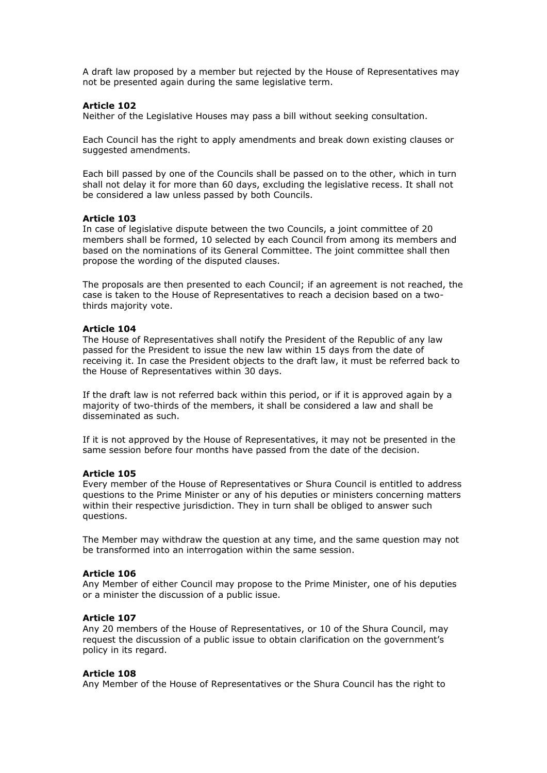A draft law proposed by a member but rejected by the House of Representatives may not be presented again during the same legislative term.

# **Article 102**

Neither of the Legislative Houses may pass a bill without seeking consultation.

Each Council has the right to apply amendments and break down existing clauses or suggested amendments.

Each bill passed by one of the Councils shall be passed on to the other, which in turn shall not delay it for more than 60 days, excluding the legislative recess. It shall not be considered a law unless passed by both Councils.

## **Article 103**

In case of legislative dispute between the two Councils, a joint committee of 20 members shall be formed, 10 selected by each Council from among its members and based on the nominations of its General Committee. The joint committee shall then propose the wording of the disputed clauses.

The proposals are then presented to each Council; if an agreement is not reached, the case is taken to the House of Representatives to reach a decision based on a twothirds majority vote.

#### **Article 104**

The House of Representatives shall notify the President of the Republic of any law passed for the President to issue the new law within 15 days from the date of receiving it. In case the President objects to the draft law, it must be referred back to the House of Representatives within 30 days.

If the draft law is not referred back within this period, or if it is approved again by a majority of two-thirds of the members, it shall be considered a law and shall be disseminated as such.

If it is not approved by the House of Representatives, it may not be presented in the same session before four months have passed from the date of the decision.

## **Article 105**

Every member of the House of Representatives or Shura Council is entitled to address questions to the Prime Minister or any of his deputies or ministers concerning matters within their respective jurisdiction. They in turn shall be obliged to answer such questions.

The Member may withdraw the question at any time, and the same question may not be transformed into an interrogation within the same session.

#### **Article 106**

Any Member of either Council may propose to the Prime Minister, one of his deputies or a minister the discussion of a public issue.

#### **Article 107**

Any 20 members of the House of Representatives, or 10 of the Shura Council, may request the discussion of a public issue to obtain clarification on the government's policy in its regard.

#### **Article 108**

Any Member of the House of Representatives or the Shura Council has the right to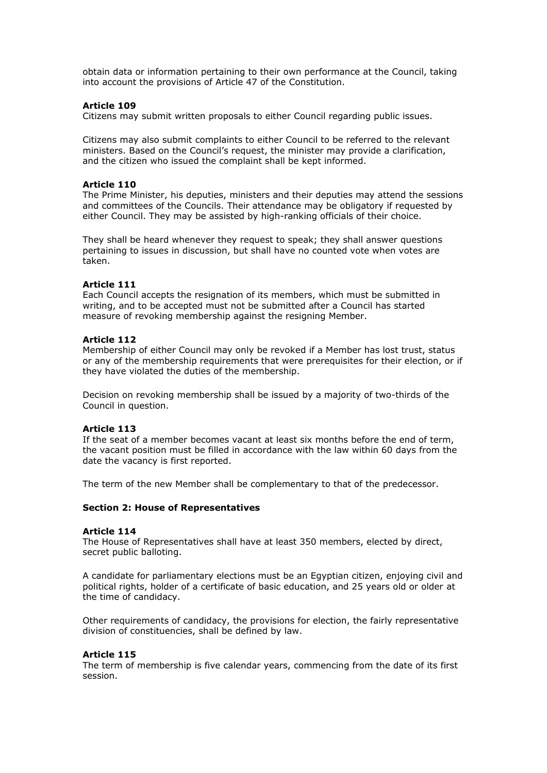obtain data or information pertaining to their own performance at the Council, taking into account the provisions of Article 47 of the Constitution.

# **Article 109**

Citizens may submit written proposals to either Council regarding public issues.

Citizens may also submit complaints to either Council to be referred to the relevant ministers. Based on the Council's request, the minister may provide a clarification, and the citizen who issued the complaint shall be kept informed.

# **Article 110**

The Prime Minister, his deputies, ministers and their deputies may attend the sessions and committees of the Councils. Their attendance may be obligatory if requested by either Council. They may be assisted by high-ranking officials of their choice.

They shall be heard whenever they request to speak; they shall answer questions pertaining to issues in discussion, but shall have no counted vote when votes are taken.

# **Article 111**

Each Council accepts the resignation of its members, which must be submitted in writing, and to be accepted must not be submitted after a Council has started measure of revoking membership against the resigning Member.

# **Article 112**

Membership of either Council may only be revoked if a Member has lost trust, status or any of the membership requirements that were prerequisites for their election, or if they have violated the duties of the membership.

Decision on revoking membership shall be issued by a majority of two-thirds of the Council in question.

# **Article 113**

If the seat of a member becomes vacant at least six months before the end of term, the vacant position must be filled in accordance with the law within 60 days from the date the vacancy is first reported.

The term of the new Member shall be complementary to that of the predecessor.

## **Section 2: House of Representatives**

## **Article 114**

The House of Representatives shall have at least 350 members, elected by direct, secret public balloting.

A candidate for parliamentary elections must be an Egyptian citizen, enjoying civil and political rights, holder of a certificate of basic education, and 25 years old or older at the time of candidacy.

Other requirements of candidacy, the provisions for election, the fairly representative division of constituencies, shall be defined by law.

## **Article 115**

The term of membership is five calendar years, commencing from the date of its first session.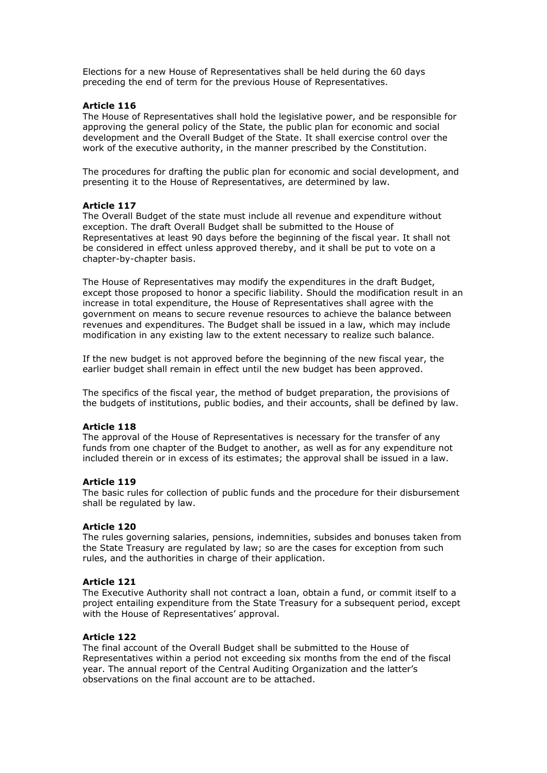Elections for a new House of Representatives shall be held during the 60 days preceding the end of term for the previous House of Representatives.

# **Article 116**

The House of Representatives shall hold the legislative power, and be responsible for approving the general policy of the State, the public plan for economic and social development and the Overall Budget of the State. It shall exercise control over the work of the executive authority, in the manner prescribed by the Constitution.

The procedures for drafting the public plan for economic and social development, and presenting it to the House of Representatives, are determined by law.

## **Article 117**

The Overall Budget of the state must include all revenue and expenditure without exception. The draft Overall Budget shall be submitted to the House of Representatives at least 90 days before the beginning of the fiscal year. It shall not be considered in effect unless approved thereby, and it shall be put to vote on a chapter-by-chapter basis.

The House of Representatives may modify the expenditures in the draft Budget, except those proposed to honor a specific liability. Should the modification result in an increase in total expenditure, the House of Representatives shall agree with the government on means to secure revenue resources to achieve the balance between revenues and expenditures. The Budget shall be issued in a law, which may include modification in any existing law to the extent necessary to realize such balance.

If the new budget is not approved before the beginning of the new fiscal year, the earlier budget shall remain in effect until the new budget has been approved.

The specifics of the fiscal year, the method of budget preparation, the provisions of the budgets of institutions, public bodies, and their accounts, shall be defined by law.

## **Article 118**

The approval of the House of Representatives is necessary for the transfer of any funds from one chapter of the Budget to another, as well as for any expenditure not included therein or in excess of its estimates; the approval shall be issued in a law.

## **Article 119**

The basic rules for collection of public funds and the procedure for their disbursement shall be regulated by law.

#### **Article 120**

The rules governing salaries, pensions, indemnities, subsides and bonuses taken from the State Treasury are regulated by law; so are the cases for exception from such rules, and the authorities in charge of their application.

#### **Article 121**

The Executive Authority shall not contract a loan, obtain a fund, or commit itself to a project entailing expenditure from the State Treasury for a subsequent period, except with the House of Representatives' approval.

## **Article 122**

The final account of the Overall Budget shall be submitted to the House of Representatives within a period not exceeding six months from the end of the fiscal year. The annual report of the Central Auditing Organization and the latter's observations on the final account are to be attached.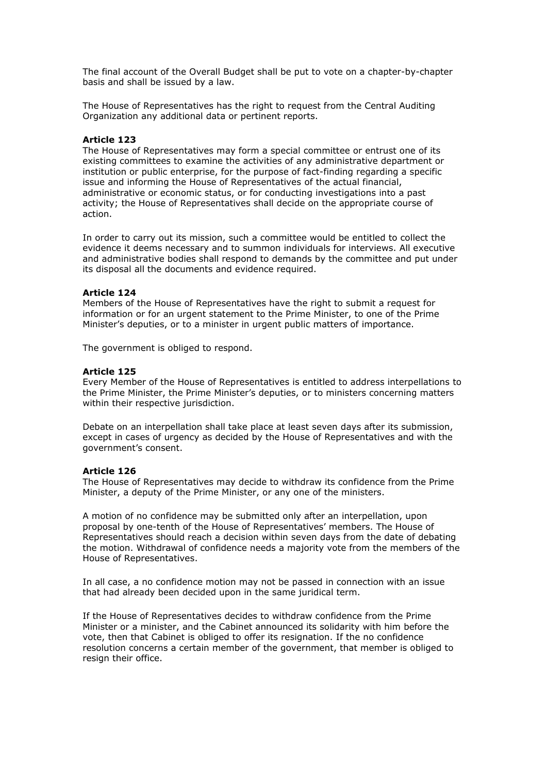The final account of the Overall Budget shall be put to vote on a chapter-by-chapter basis and shall be issued by a law.

The House of Representatives has the right to request from the Central Auditing Organization any additional data or pertinent reports.

#### **Article 123**

The House of Representatives may form a special committee or entrust one of its existing committees to examine the activities of any administrative department or institution or public enterprise, for the purpose of fact-finding regarding a specific issue and informing the House of Representatives of the actual financial, administrative or economic status, or for conducting investigations into a past activity; the House of Representatives shall decide on the appropriate course of action.

In order to carry out its mission, such a committee would be entitled to collect the evidence it deems necessary and to summon individuals for interviews. All executive and administrative bodies shall respond to demands by the committee and put under its disposal all the documents and evidence required.

#### **Article 124**

Members of the House of Representatives have the right to submit a request for information or for an urgent statement to the Prime Minister, to one of the Prime Minister's deputies, or to a minister in urgent public matters of importance.

The government is obliged to respond.

#### **Article 125**

Every Member of the House of Representatives is entitled to address interpellations to the Prime Minister, the Prime Minister's deputies, or to ministers concerning matters within their respective jurisdiction.

Debate on an interpellation shall take place at least seven days after its submission, except in cases of urgency as decided by the House of Representatives and with the government's consent.

#### **Article 126**

The House of Representatives may decide to withdraw its confidence from the Prime Minister, a deputy of the Prime Minister, or any one of the ministers.

A motion of no confidence may be submitted only after an interpellation, upon proposal by one-tenth of the House of Representatives' members. The House of Representatives should reach a decision within seven days from the date of debating the motion. Withdrawal of confidence needs a majority vote from the members of the House of Representatives.

In all case, a no confidence motion may not be passed in connection with an issue that had already been decided upon in the same juridical term.

If the House of Representatives decides to withdraw confidence from the Prime Minister or a minister, and the Cabinet announced its solidarity with him before the vote, then that Cabinet is obliged to offer its resignation. If the no confidence resolution concerns a certain member of the government, that member is obliged to resign their office.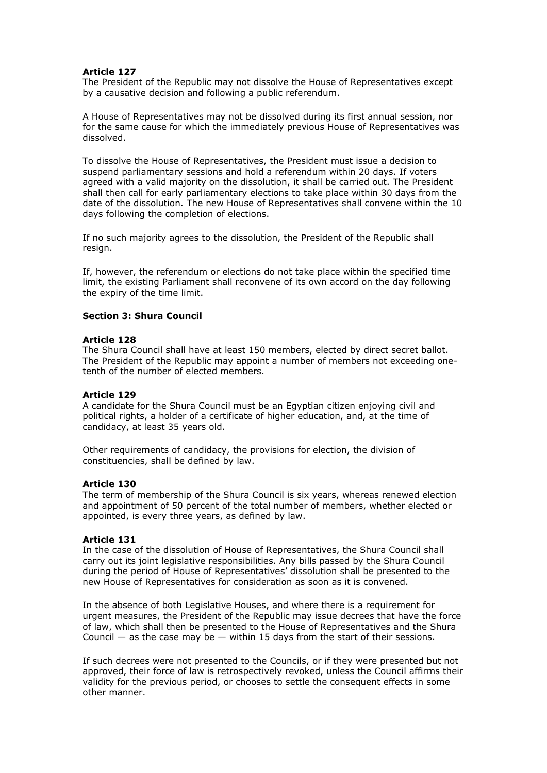The President of the Republic may not dissolve the House of Representatives except by a causative decision and following a public referendum.

A House of Representatives may not be dissolved during its first annual session, nor for the same cause for which the immediately previous House of Representatives was dissolved.

To dissolve the House of Representatives, the President must issue a decision to suspend parliamentary sessions and hold a referendum within 20 days. If voters agreed with a valid majority on the dissolution, it shall be carried out. The President shall then call for early parliamentary elections to take place within 30 days from the date of the dissolution. The new House of Representatives shall convene within the 10 days following the completion of elections.

If no such majority agrees to the dissolution, the President of the Republic shall resign.

If, however, the referendum or elections do not take place within the specified time limit, the existing Parliament shall reconvene of its own accord on the day following the expiry of the time limit.

# **Section 3: Shura Council**

# **Article 128**

The Shura Council shall have at least 150 members, elected by direct secret ballot. The President of the Republic may appoint a number of members not exceeding onetenth of the number of elected members.

## **Article 129**

A candidate for the Shura Council must be an Egyptian citizen enjoying civil and political rights, a holder of a certificate of higher education, and, at the time of candidacy, at least 35 years old.

Other requirements of candidacy, the provisions for election, the division of constituencies, shall be defined by law.

## **Article 130**

The term of membership of the Shura Council is six years, whereas renewed election and appointment of 50 percent of the total number of members, whether elected or appointed, is every three years, as defined by law.

## **Article 131**

In the case of the dissolution of House of Representatives, the Shura Council shall carry out its joint legislative responsibilities. Any bills passed by the Shura Council during the period of House of Representatives' dissolution shall be presented to the new House of Representatives for consideration as soon as it is convened.

In the absence of both Legislative Houses, and where there is a requirement for urgent measures, the President of the Republic may issue decrees that have the force of law, which shall then be presented to the House of Representatives and the Shura Council  $-$  as the case may be  $-$  within 15 days from the start of their sessions.

If such decrees were not presented to the Councils, or if they were presented but not approved, their force of law is retrospectively revoked, unless the Council affirms their validity for the previous period, or chooses to settle the consequent effects in some other manner.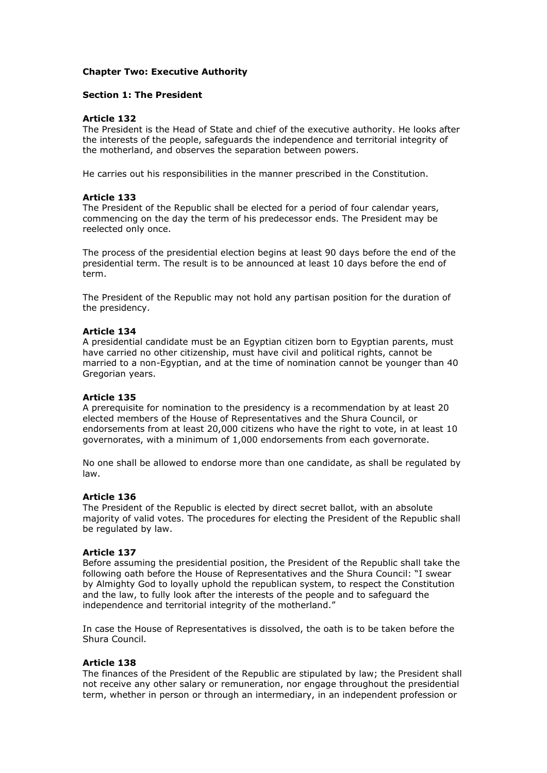# **Chapter Two: Executive Authority**

# **Section 1: The President**

## **Article 132**

The President is the Head of State and chief of the executive authority. He looks after the interests of the people, safeguards the independence and territorial integrity of the motherland, and observes the separation between powers.

He carries out his responsibilities in the manner prescribed in the Constitution.

# **Article 133**

The President of the Republic shall be elected for a period of four calendar years, commencing on the day the term of his predecessor ends. The President may be reelected only once.

The process of the presidential election begins at least 90 days before the end of the presidential term. The result is to be announced at least 10 days before the end of term.

The President of the Republic may not hold any partisan position for the duration of the presidency.

#### **Article 134**

A presidential candidate must be an Egyptian citizen born to Egyptian parents, must have carried no other citizenship, must have civil and political rights, cannot be married to a non-Egyptian, and at the time of nomination cannot be younger than 40 Gregorian years.

## **Article 135**

A prerequisite for nomination to the presidency is a recommendation by at least 20 elected members of the House of Representatives and the Shura Council, or endorsements from at least 20,000 citizens who have the right to vote, in at least 10 governorates, with a minimum of 1,000 endorsements from each governorate.

No one shall be allowed to endorse more than one candidate, as shall be regulated by law.

## **Article 136**

The President of the Republic is elected by direct secret ballot, with an absolute majority of valid votes. The procedures for electing the President of the Republic shall be regulated by law.

#### **Article 137**

Before assuming the presidential position, the President of the Republic shall take the following oath before the House of Representatives and the Shura Council: "I swear by Almighty God to loyally uphold the republican system, to respect the Constitution and the law, to fully look after the interests of the people and to safeguard the independence and territorial integrity of the motherland."

In case the House of Representatives is dissolved, the oath is to be taken before the Shura Council.

## **Article 138**

The finances of the President of the Republic are stipulated by law; the President shall not receive any other salary or remuneration, nor engage throughout the presidential term, whether in person or through an intermediary, in an independent profession or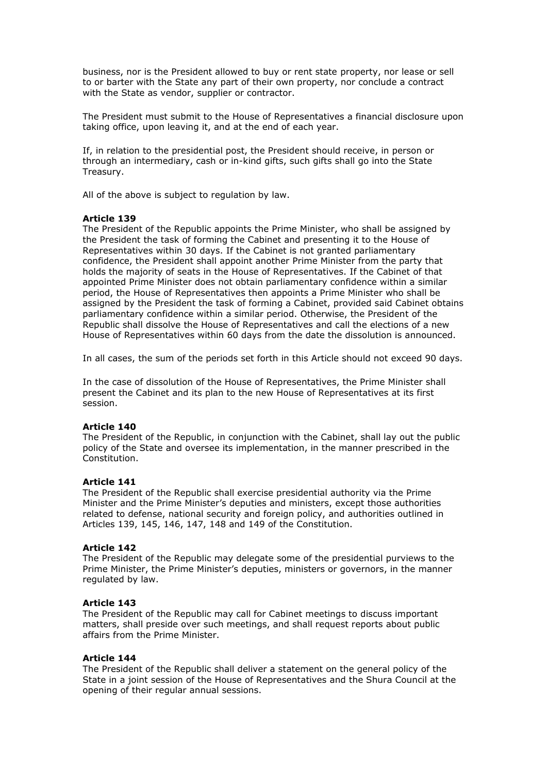business, nor is the President allowed to buy or rent state property, nor lease or sell to or barter with the State any part of their own property, nor conclude a contract with the State as vendor, supplier or contractor.

The President must submit to the House of Representatives a financial disclosure upon taking office, upon leaving it, and at the end of each year.

If, in relation to the presidential post, the President should receive, in person or through an intermediary, cash or in-kind gifts, such gifts shall go into the State Treasury.

All of the above is subject to regulation by law.

## **Article 139**

The President of the Republic appoints the Prime Minister, who shall be assigned by the President the task of forming the Cabinet and presenting it to the House of Representatives within 30 days. If the Cabinet is not granted parliamentary confidence, the President shall appoint another Prime Minister from the party that holds the majority of seats in the House of Representatives. If the Cabinet of that appointed Prime Minister does not obtain parliamentary confidence within a similar period, the House of Representatives then appoints a Prime Minister who shall be assigned by the President the task of forming a Cabinet, provided said Cabinet obtains parliamentary confidence within a similar period. Otherwise, the President of the Republic shall dissolve the House of Representatives and call the elections of a new House of Representatives within 60 days from the date the dissolution is announced.

In all cases, the sum of the periods set forth in this Article should not exceed 90 days.

In the case of dissolution of the House of Representatives, the Prime Minister shall present the Cabinet and its plan to the new House of Representatives at its first session.

## **Article 140**

The President of the Republic, in conjunction with the Cabinet, shall lay out the public policy of the State and oversee its implementation, in the manner prescribed in the Constitution.

## **Article 141**

The President of the Republic shall exercise presidential authority via the Prime Minister and the Prime Minister's deputies and ministers, except those authorities related to defense, national security and foreign policy, and authorities outlined in Articles 139, 145, 146, 147, 148 and 149 of the Constitution.

#### **Article 142**

The President of the Republic may delegate some of the presidential purviews to the Prime Minister, the Prime Minister's deputies, ministers or governors, in the manner regulated by law.

## **Article 143**

The President of the Republic may call for Cabinet meetings to discuss important matters, shall preside over such meetings, and shall request reports about public affairs from the Prime Minister.

# **Article 144**

The President of the Republic shall deliver a statement on the general policy of the State in a joint session of the House of Representatives and the Shura Council at the opening of their regular annual sessions.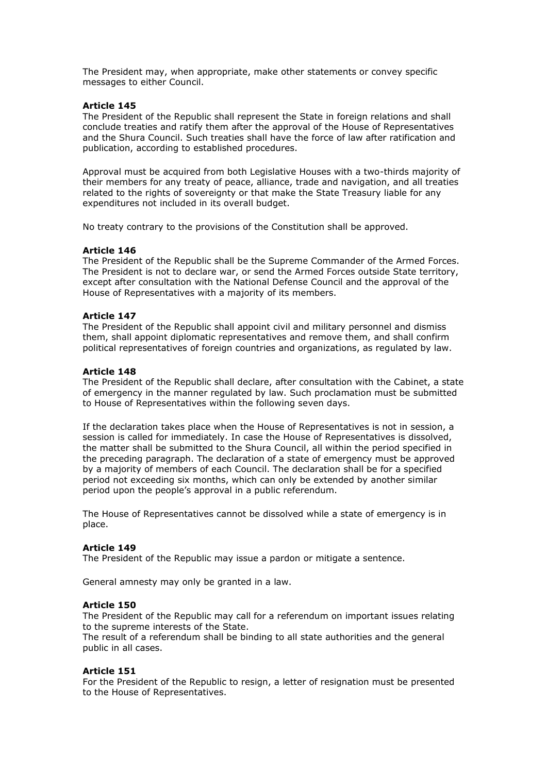The President may, when appropriate, make other statements or convey specific messages to either Council.

# **Article 145**

The President of the Republic shall represent the State in foreign relations and shall conclude treaties and ratify them after the approval of the House of Representatives and the Shura Council. Such treaties shall have the force of law after ratification and publication, according to established procedures.

Approval must be acquired from both Legislative Houses with a two-thirds majority of their members for any treaty of peace, alliance, trade and navigation, and all treaties related to the rights of sovereignty or that make the State Treasury liable for any expenditures not included in its overall budget.

No treaty contrary to the provisions of the Constitution shall be approved.

# **Article 146**

The President of the Republic shall be the Supreme Commander of the Armed Forces. The President is not to declare war, or send the Armed Forces outside State territory, except after consultation with the National Defense Council and the approval of the House of Representatives with a majority of its members.

## **Article 147**

The President of the Republic shall appoint civil and military personnel and dismiss them, shall appoint diplomatic representatives and remove them, and shall confirm political representatives of foreign countries and organizations, as regulated by law.

## **Article 148**

The President of the Republic shall declare, after consultation with the Cabinet, a state of emergency in the manner regulated by law. Such proclamation must be submitted to House of Representatives within the following seven days.

If the declaration takes place when the House of Representatives is not in session, a session is called for immediately. In case the House of Representatives is dissolved, the matter shall be submitted to the Shura Council, all within the period specified in the preceding paragraph. The declaration of a state of emergency must be approved by a majority of members of each Council. The declaration shall be for a specified period not exceeding six months, which can only be extended by another similar period upon the people's approval in a public referendum.

The House of Representatives cannot be dissolved while a state of emergency is in place.

## **Article 149**

The President of the Republic may issue a pardon or mitigate a sentence.

General amnesty may only be granted in a law.

## **Article 150**

The President of the Republic may call for a referendum on important issues relating to the supreme interests of the State.

The result of a referendum shall be binding to all state authorities and the general public in all cases.

## **Article 151**

For the President of the Republic to resign, a letter of resignation must be presented to the House of Representatives.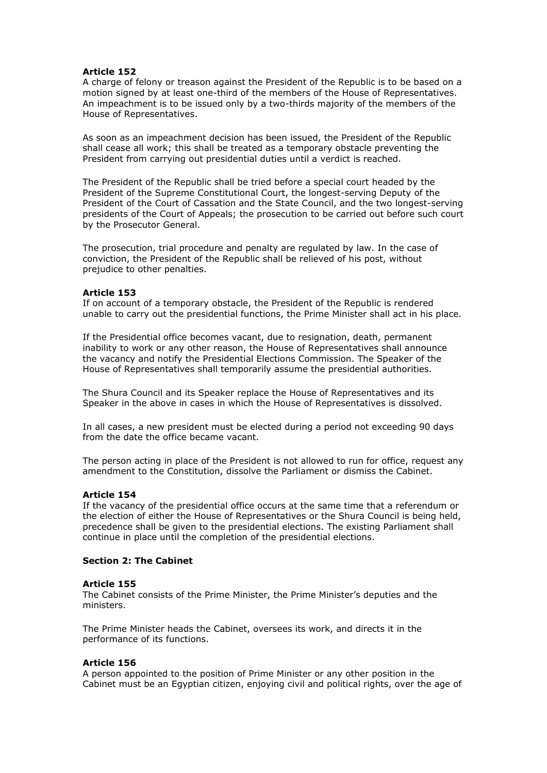A charge of felony or treason against the President of the Republic is to be based on a motion signed by at least one-third of the members of the House of Representatives. An impeachment is to be issued only by a two-thirds majority of the members of the House of Representatives.

As soon as an impeachment decision has been issued, the President of the Republic shall cease all work; this shall be treated as a temporary obstacle preventing the President from carrying out presidential duties until a verdict is reached.

The President of the Republic shall be tried before a special court headed by the President of the Supreme Constitutional Court, the longest-serving Deputy of the President of the Court of Cassation and the State Council, and the two longest-serving presidents of the Court of Appeals; the prosecution to be carried out before such court by the Prosecutor General.

The prosecution, trial procedure and penalty are regulated by law. In the case of conviction, the President of the Republic shall be relieved of his post, without prejudice to other penalties.

## **Article 153**

If on account of a temporary obstacle, the President of the Republic is rendered unable to carry out the presidential functions, the Prime Minister shall act in his place.

If the Presidential office becomes vacant, due to resignation, death, permanent inability to work or any other reason, the House of Representatives shall announce the vacancy and notify the Presidential Elections Commission. The Speaker of the House of Representatives shall temporarily assume the presidential authorities.

The Shura Council and its Speaker replace the House of Representatives and its Speaker in the above in cases in which the House of Representatives is dissolved.

In all cases, a new president must be elected during a period not exceeding 90 days from the date the office became vacant.

The person acting in place of the President is not allowed to run for office, request any amendment to the Constitution, dissolve the Parliament or dismiss the Cabinet.

## **Article 154**

If the vacancy of the presidential office occurs at the same time that a referendum or the election of either the House of Representatives or the Shura Council is being held, precedence shall be given to the presidential elections. The existing Parliament shall continue in place until the completion of the presidential elections.

# **Section 2: The Cabinet**

## **Article 155**

The Cabinet consists of the Prime Minister, the Prime Minister's deputies and the ministers.

The Prime Minister heads the Cabinet, oversees its work, and directs it in the performance of its functions.

## **Article 156**

A person appointed to the position of Prime Minister or any other position in the Cabinet must be an Egyptian citizen, enjoying civil and political rights, over the age of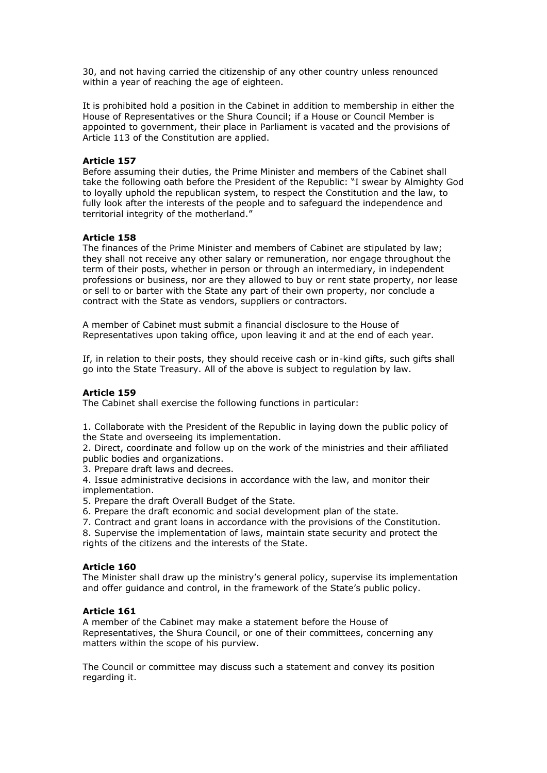30, and not having carried the citizenship of any other country unless renounced within a year of reaching the age of eighteen.

It is prohibited hold a position in the Cabinet in addition to membership in either the House of Representatives or the Shura Council; if a House or Council Member is appointed to government, their place in Parliament is vacated and the provisions of Article 113 of the Constitution are applied.

## **Article 157**

Before assuming their duties, the Prime Minister and members of the Cabinet shall take the following oath before the President of the Republic: "I swear by Almighty God to loyally uphold the republican system, to respect the Constitution and the law, to fully look after the interests of the people and to safeguard the independence and territorial integrity of the motherland."

# **Article 158**

The finances of the Prime Minister and members of Cabinet are stipulated by law; they shall not receive any other salary or remuneration, nor engage throughout the term of their posts, whether in person or through an intermediary, in independent professions or business, nor are they allowed to buy or rent state property, nor lease or sell to or barter with the State any part of their own property, nor conclude a contract with the State as vendors, suppliers or contractors.

A member of Cabinet must submit a financial disclosure to the House of Representatives upon taking office, upon leaving it and at the end of each year.

If, in relation to their posts, they should receive cash or in-kind gifts, such gifts shall go into the State Treasury. All of the above is subject to regulation by law.

# **Article 159**

The Cabinet shall exercise the following functions in particular:

1. Collaborate with the President of the Republic in laying down the public policy of the State and overseeing its implementation.

2. Direct, coordinate and follow up on the work of the ministries and their affiliated public bodies and organizations.

3. Prepare draft laws and decrees.

4. Issue administrative decisions in accordance with the law, and monitor their implementation.

5. Prepare the draft Overall Budget of the State.

6. Prepare the draft economic and social development plan of the state.

7. Contract and grant loans in accordance with the provisions of the Constitution.

8. Supervise the implementation of laws, maintain state security and protect the rights of the citizens and the interests of the State.

## **Article 160**

The Minister shall draw up the ministry's general policy, supervise its implementation and offer guidance and control, in the framework of the State's public policy.

# **Article 161**

A member of the Cabinet may make a statement before the House of Representatives, the Shura Council, or one of their committees, concerning any matters within the scope of his purview.

The Council or committee may discuss such a statement and convey its position regarding it.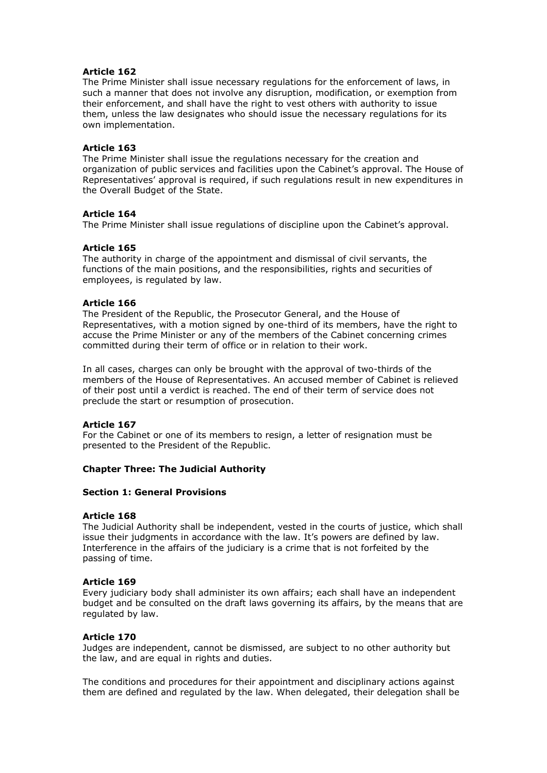The Prime Minister shall issue necessary regulations for the enforcement of laws, in such a manner that does not involve any disruption, modification, or exemption from their enforcement, and shall have the right to vest others with authority to issue them, unless the law designates who should issue the necessary regulations for its own implementation.

# **Article 163**

The Prime Minister shall issue the regulations necessary for the creation and organization of public services and facilities upon the Cabinet's approval. The House of Representatives' approval is required, if such regulations result in new expenditures in the Overall Budget of the State.

# **Article 164**

The Prime Minister shall issue regulations of discipline upon the Cabinet's approval.

# **Article 165**

The authority in charge of the appointment and dismissal of civil servants, the functions of the main positions, and the responsibilities, rights and securities of employees, is regulated by law.

# **Article 166**

The President of the Republic, the Prosecutor General, and the House of Representatives, with a motion signed by one-third of its members, have the right to accuse the Prime Minister or any of the members of the Cabinet concerning crimes committed during their term of office or in relation to their work.

In all cases, charges can only be brought with the approval of two-thirds of the members of the House of Representatives. An accused member of Cabinet is relieved of their post until a verdict is reached. The end of their term of service does not preclude the start or resumption of prosecution.

# **Article 167**

For the Cabinet or one of its members to resign, a letter of resignation must be presented to the President of the Republic.

# **Chapter Three: The Judicial Authority**

# **Section 1: General Provisions**

## **Article 168**

The Judicial Authority shall be independent, vested in the courts of justice, which shall issue their judgments in accordance with the law. It's powers are defined by law. Interference in the affairs of the judiciary is a crime that is not forfeited by the passing of time.

## **Article 169**

Every judiciary body shall administer its own affairs; each shall have an independent budget and be consulted on the draft laws governing its affairs, by the means that are regulated by law.

# **Article 170**

Judges are independent, cannot be dismissed, are subject to no other authority but the law, and are equal in rights and duties.

The conditions and procedures for their appointment and disciplinary actions against them are defined and regulated by the law. When delegated, their delegation shall be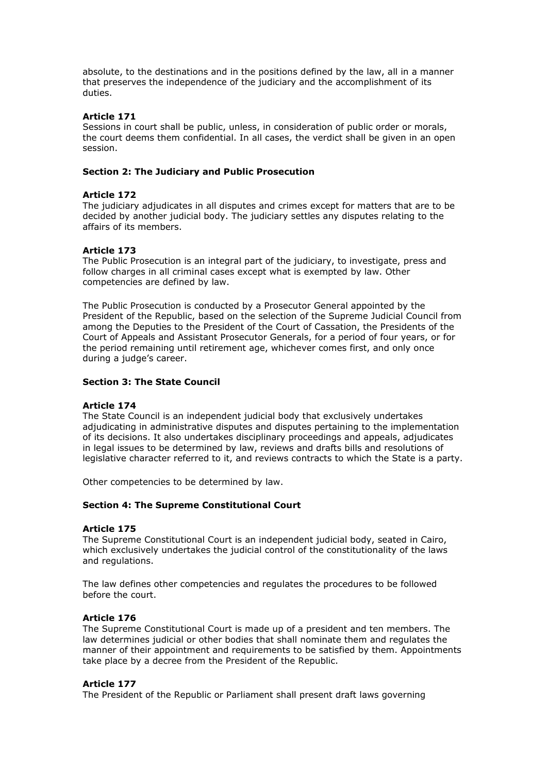absolute, to the destinations and in the positions defined by the law, all in a manner that preserves the independence of the judiciary and the accomplishment of its duties.

# **Article 171**

Sessions in court shall be public, unless, in consideration of public order or morals, the court deems them confidential. In all cases, the verdict shall be given in an open session.

# **Section 2: The Judiciary and Public Prosecution**

# **Article 172**

The judiciary adjudicates in all disputes and crimes except for matters that are to be decided by another judicial body. The judiciary settles any disputes relating to the affairs of its members.

# **Article 173**

The Public Prosecution is an integral part of the judiciary, to investigate, press and follow charges in all criminal cases except what is exempted by law. Other competencies are defined by law.

The Public Prosecution is conducted by a Prosecutor General appointed by the President of the Republic, based on the selection of the Supreme Judicial Council from among the Deputies to the President of the Court of Cassation, the Presidents of the Court of Appeals and Assistant Prosecutor Generals, for a period of four years, or for the period remaining until retirement age, whichever comes first, and only once during a judge's career.

# **Section 3: The State Council**

## **Article 174**

The State Council is an independent judicial body that exclusively undertakes adjudicating in administrative disputes and disputes pertaining to the implementation of its decisions. It also undertakes disciplinary proceedings and appeals, adjudicates in legal issues to be determined by law, reviews and drafts bills and resolutions of legislative character referred to it, and reviews contracts to which the State is a party.

Other competencies to be determined by law.

# **Section 4: The Supreme Constitutional Court**

# **Article 175**

The Supreme Constitutional Court is an independent judicial body, seated in Cairo, which exclusively undertakes the judicial control of the constitutionality of the laws and regulations.

The law defines other competencies and regulates the procedures to be followed before the court.

# **Article 176**

The Supreme Constitutional Court is made up of a president and ten members. The law determines judicial or other bodies that shall nominate them and regulates the manner of their appointment and requirements to be satisfied by them. Appointments take place by a decree from the President of the Republic.

## **Article 177**

The President of the Republic or Parliament shall present draft laws governing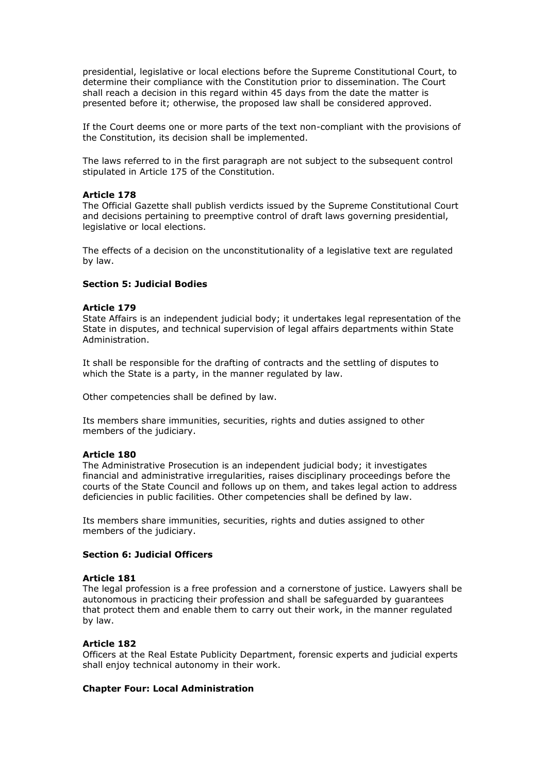presidential, legislative or local elections before the Supreme Constitutional Court, to determine their compliance with the Constitution prior to dissemination. The Court shall reach a decision in this regard within 45 days from the date the matter is presented before it; otherwise, the proposed law shall be considered approved.

If the Court deems one or more parts of the text non-compliant with the provisions of the Constitution, its decision shall be implemented.

The laws referred to in the first paragraph are not subject to the subsequent control stipulated in Article 175 of the Constitution.

## **Article 178**

The Official Gazette shall publish verdicts issued by the Supreme Constitutional Court and decisions pertaining to preemptive control of draft laws governing presidential, legislative or local elections.

The effects of a decision on the unconstitutionality of a legislative text are regulated by law.

## **Section 5: Judicial Bodies**

## **Article 179**

State Affairs is an independent judicial body; it undertakes legal representation of the State in disputes, and technical supervision of legal affairs departments within State Administration.

It shall be responsible for the drafting of contracts and the settling of disputes to which the State is a party, in the manner regulated by law.

Other competencies shall be defined by law.

Its members share immunities, securities, rights and duties assigned to other members of the judiciary.

#### **Article 180**

The Administrative Prosecution is an independent judicial body; it investigates financial and administrative irregularities, raises disciplinary proceedings before the courts of the State Council and follows up on them, and takes legal action to address deficiencies in public facilities. Other competencies shall be defined by law.

Its members share immunities, securities, rights and duties assigned to other members of the judiciary.

## **Section 6: Judicial Officers**

#### **Article 181**

The legal profession is a free profession and a cornerstone of justice. Lawyers shall be autonomous in practicing their profession and shall be safeguarded by guarantees that protect them and enable them to carry out their work, in the manner regulated by law.

## **Article 182**

Officers at the Real Estate Publicity Department, forensic experts and judicial experts shall enjoy technical autonomy in their work.

## **Chapter Four: Local Administration**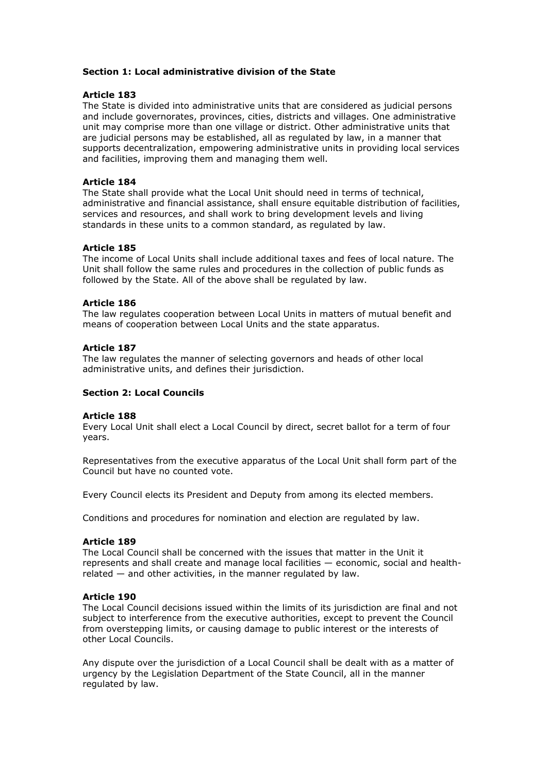# **Section 1: Local administrative division of the State**

# **Article 183**

The State is divided into administrative units that are considered as judicial persons and include governorates, provinces, cities, districts and villages. One administrative unit may comprise more than one village or district. Other administrative units that are judicial persons may be established, all as regulated by law, in a manner that supports decentralization, empowering administrative units in providing local services and facilities, improving them and managing them well.

## **Article 184**

The State shall provide what the Local Unit should need in terms of technical, administrative and financial assistance, shall ensure equitable distribution of facilities, services and resources, and shall work to bring development levels and living standards in these units to a common standard, as regulated by law.

# **Article 185**

The income of Local Units shall include additional taxes and fees of local nature. The Unit shall follow the same rules and procedures in the collection of public funds as followed by the State. All of the above shall be regulated by law.

# **Article 186**

The law regulates cooperation between Local Units in matters of mutual benefit and means of cooperation between Local Units and the state apparatus.

# **Article 187**

The law regulates the manner of selecting governors and heads of other local administrative units, and defines their jurisdiction.

# **Section 2: Local Councils**

## **Article 188**

Every Local Unit shall elect a Local Council by direct, secret ballot for a term of four years.

Representatives from the executive apparatus of the Local Unit shall form part of the Council but have no counted vote.

Every Council elects its President and Deputy from among its elected members.

Conditions and procedures for nomination and election are regulated by law.

## **Article 189**

The Local Council shall be concerned with the issues that matter in the Unit it represents and shall create and manage local facilities — economic, social and healthrelated — and other activities, in the manner regulated by law.

## **Article 190**

The Local Council decisions issued within the limits of its jurisdiction are final and not subject to interference from the executive authorities, except to prevent the Council from overstepping limits, or causing damage to public interest or the interests of other Local Councils.

Any dispute over the jurisdiction of a Local Council shall be dealt with as a matter of urgency by the Legislation Department of the State Council, all in the manner regulated by law.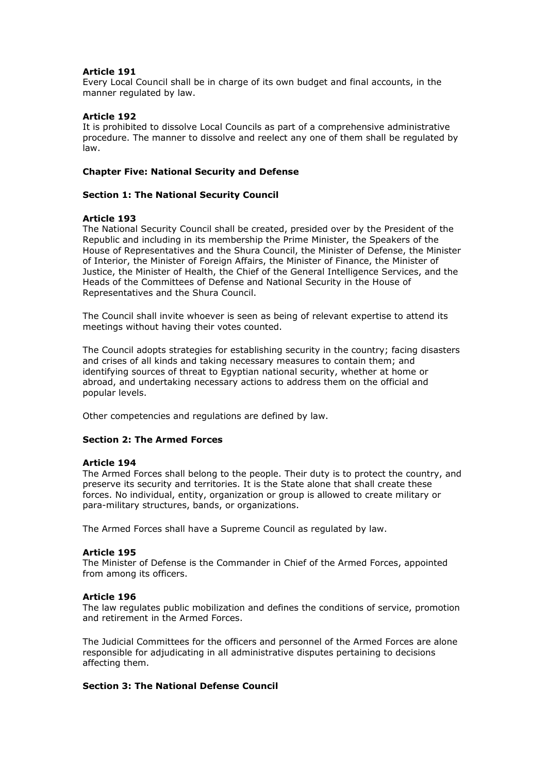Every Local Council shall be in charge of its own budget and final accounts, in the manner regulated by law.

# **Article 192**

It is prohibited to dissolve Local Councils as part of a comprehensive administrative procedure. The manner to dissolve and reelect any one of them shall be regulated by law.

# **Chapter Five: National Security and Defense**

# **Section 1: The National Security Council**

# **Article 193**

The National Security Council shall be created, presided over by the President of the Republic and including in its membership the Prime Minister, the Speakers of the House of Representatives and the Shura Council, the Minister of Defense, the Minister of Interior, the Minister of Foreign Affairs, the Minister of Finance, the Minister of Justice, the Minister of Health, the Chief of the General Intelligence Services, and the Heads of the Committees of Defense and National Security in the House of Representatives and the Shura Council.

The Council shall invite whoever is seen as being of relevant expertise to attend its meetings without having their votes counted.

The Council adopts strategies for establishing security in the country; facing disasters and crises of all kinds and taking necessary measures to contain them; and identifying sources of threat to Egyptian national security, whether at home or abroad, and undertaking necessary actions to address them on the official and popular levels.

Other competencies and regulations are defined by law.

# **Section 2: The Armed Forces**

# **Article 194**

The Armed Forces shall belong to the people. Their duty is to protect the country, and preserve its security and territories. It is the State alone that shall create these forces. No individual, entity, organization or group is allowed to create military or para-military structures, bands, or organizations.

The Armed Forces shall have a Supreme Council as regulated by law.

## **Article 195**

The Minister of Defense is the Commander in Chief of the Armed Forces, appointed from among its officers.

## **Article 196**

The law regulates public mobilization and defines the conditions of service, promotion and retirement in the Armed Forces.

The Judicial Committees for the officers and personnel of the Armed Forces are alone responsible for adjudicating in all administrative disputes pertaining to decisions affecting them.

# **Section 3: The National Defense Council**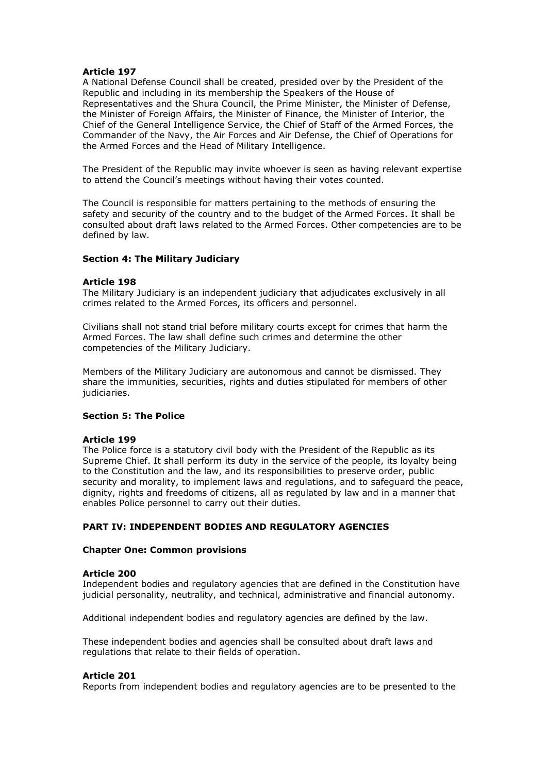A National Defense Council shall be created, presided over by the President of the Republic and including in its membership the Speakers of the House of Representatives and the Shura Council, the Prime Minister, the Minister of Defense, the Minister of Foreign Affairs, the Minister of Finance, the Minister of Interior, the Chief of the General Intelligence Service, the Chief of Staff of the Armed Forces, the Commander of the Navy, the Air Forces and Air Defense, the Chief of Operations for the Armed Forces and the Head of Military Intelligence.

The President of the Republic may invite whoever is seen as having relevant expertise to attend the Council's meetings without having their votes counted.

The Council is responsible for matters pertaining to the methods of ensuring the safety and security of the country and to the budget of the Armed Forces. It shall be consulted about draft laws related to the Armed Forces. Other competencies are to be defined by law.

# **Section 4: The Military Judiciary**

## **Article 198**

The Military Judiciary is an independent judiciary that adjudicates exclusively in all crimes related to the Armed Forces, its officers and personnel.

Civilians shall not stand trial before military courts except for crimes that harm the Armed Forces. The law shall define such crimes and determine the other competencies of the Military Judiciary.

Members of the Military Judiciary are autonomous and cannot be dismissed. They share the immunities, securities, rights and duties stipulated for members of other judiciaries.

# **Section 5: The Police**

# **Article 199**

The Police force is a statutory civil body with the President of the Republic as its Supreme Chief. It shall perform its duty in the service of the people, its loyalty being to the Constitution and the law, and its responsibilities to preserve order, public security and morality, to implement laws and regulations, and to safeguard the peace, dignity, rights and freedoms of citizens, all as regulated by law and in a manner that enables Police personnel to carry out their duties.

# **PART IV: INDEPENDENT BODIES AND REGULATORY AGENCIES**

## **Chapter One: Common provisions**

#### **Article 200**

Independent bodies and regulatory agencies that are defined in the Constitution have judicial personality, neutrality, and technical, administrative and financial autonomy.

Additional independent bodies and regulatory agencies are defined by the law.

These independent bodies and agencies shall be consulted about draft laws and regulations that relate to their fields of operation.

## **Article 201**

Reports from independent bodies and regulatory agencies are to be presented to the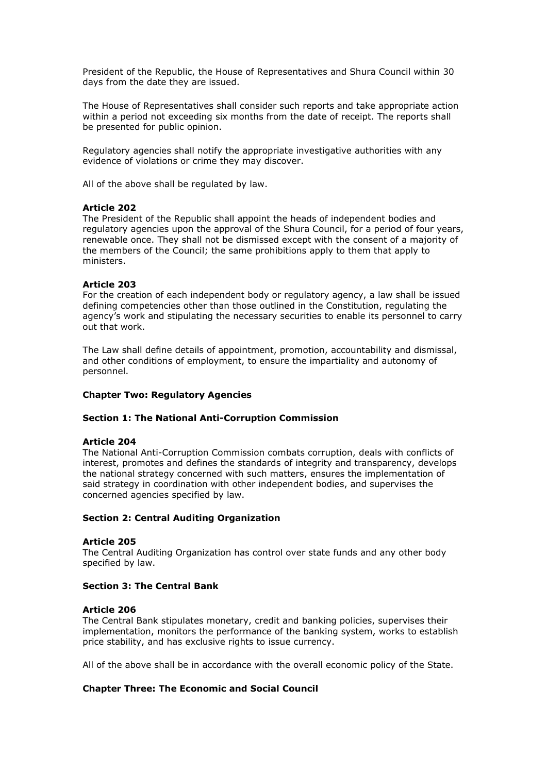President of the Republic, the House of Representatives and Shura Council within 30 days from the date they are issued.

The House of Representatives shall consider such reports and take appropriate action within a period not exceeding six months from the date of receipt. The reports shall be presented for public opinion.

Regulatory agencies shall notify the appropriate investigative authorities with any evidence of violations or crime they may discover.

All of the above shall be regulated by law.

#### **Article 202**

The President of the Republic shall appoint the heads of independent bodies and regulatory agencies upon the approval of the Shura Council, for a period of four years, renewable once. They shall not be dismissed except with the consent of a majority of the members of the Council; the same prohibitions apply to them that apply to ministers.

#### **Article 203**

For the creation of each independent body or regulatory agency, a law shall be issued defining competencies other than those outlined in the Constitution, regulating the agency's work and stipulating the necessary securities to enable its personnel to carry out that work.

The Law shall define details of appointment, promotion, accountability and dismissal, and other conditions of employment, to ensure the impartiality and autonomy of personnel.

#### **Chapter Two: Regulatory Agencies**

# **Section 1: The National Anti-Corruption Commission**

# **Article 204**

The National Anti-Corruption Commission combats corruption, deals with conflicts of interest, promotes and defines the standards of integrity and transparency, develops the national strategy concerned with such matters, ensures the implementation of said strategy in coordination with other independent bodies, and supervises the concerned agencies specified by law.

# **Section 2: Central Auditing Organization**

#### **Article 205**

The Central Auditing Organization has control over state funds and any other body specified by law.

#### **Section 3: The Central Bank**

#### **Article 206**

The Central Bank stipulates monetary, credit and banking policies, supervises their implementation, monitors the performance of the banking system, works to establish price stability, and has exclusive rights to issue currency.

All of the above shall be in accordance with the overall economic policy of the State.

## **Chapter Three: The Economic and Social Council**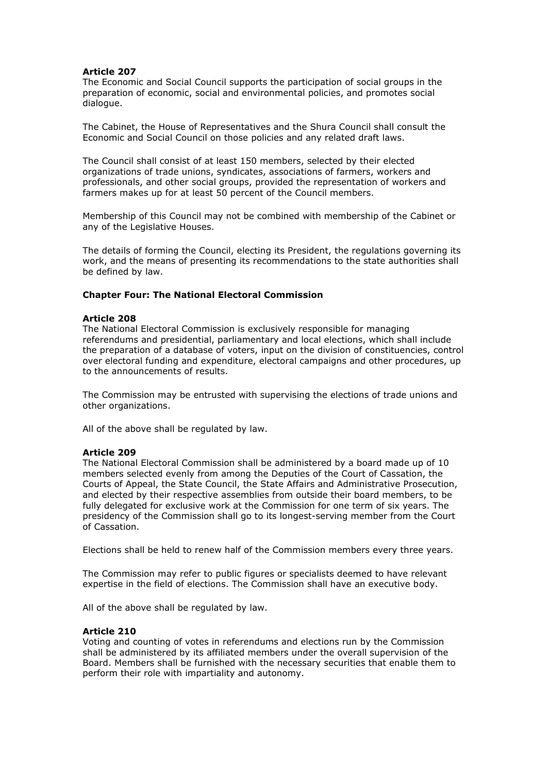The Economic and Social Council supports the participation of social groups in the preparation of economic, social and environmental policies, and promotes social dialogue.

The Cabinet, the House of Representatives and the Shura Council shall consult the Economic and Social Council on those policies and any related draft laws.

The Council shall consist of at least 150 members, selected by their elected organizations of trade unions, syndicates, associations of farmers, workers and professionals, and other social groups, provided the representation of workers and farmers makes up for at least 50 percent of the Council members.

Membership of this Council may not be combined with membership of the Cabinet or any of the Legislative Houses.

The details of forming the Council, electing its President, the regulations governing its work, and the means of presenting its recommendations to the state authorities shall be defined by law.

## **Chapter Four: The National Electoral Commission**

## **Article 208**

The National Electoral Commission is exclusively responsible for managing referendums and presidential, parliamentary and local elections, which shall include the preparation of a database of voters, input on the division of constituencies, control over electoral funding and expenditure, electoral campaigns and other procedures, up to the announcements of results.

The Commission may be entrusted with supervising the elections of trade unions and other organizations.

All of the above shall be regulated by law.

## **Article 209**

The National Electoral Commission shall be administered by a board made up of 10 members selected evenly from among the Deputies of the Court of Cassation, the Courts of Appeal, the State Council, the State Affairs and Administrative Prosecution, and elected by their respective assemblies from outside their board members, to be fully delegated for exclusive work at the Commission for one term of six years. The presidency of the Commission shall go to its longest-serving member from the Court of Cassation.

Elections shall be held to renew half of the Commission members every three years.

The Commission may refer to public figures or specialists deemed to have relevant expertise in the field of elections. The Commission shall have an executive body.

All of the above shall be regulated by law.

# **Article 210**

Voting and counting of votes in referendums and elections run by the Commission shall be administered by its affiliated members under the overall supervision of the Board. Members shall be furnished with the necessary securities that enable them to perform their role with impartiality and autonomy.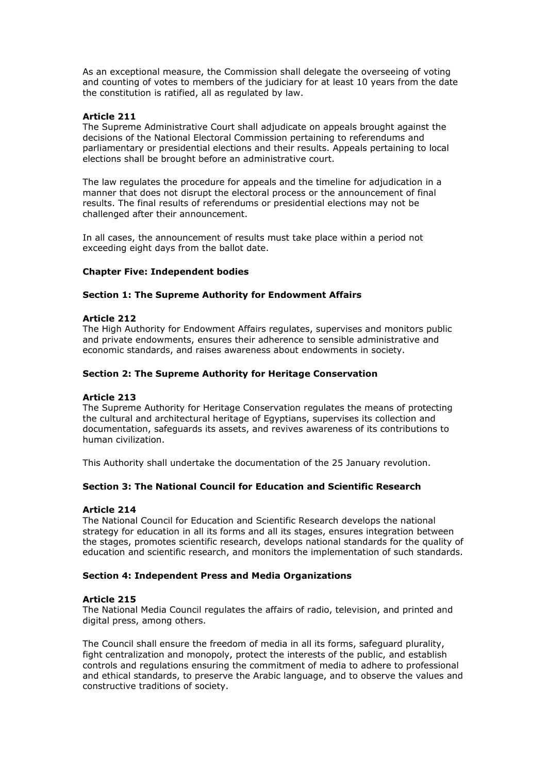As an exceptional measure, the Commission shall delegate the overseeing of voting and counting of votes to members of the judiciary for at least 10 years from the date the constitution is ratified, all as regulated by law.

# **Article 211**

The Supreme Administrative Court shall adjudicate on appeals brought against the decisions of the National Electoral Commission pertaining to referendums and parliamentary or presidential elections and their results. Appeals pertaining to local elections shall be brought before an administrative court.

The law regulates the procedure for appeals and the timeline for adjudication in a manner that does not disrupt the electoral process or the announcement of final results. The final results of referendums or presidential elections may not be challenged after their announcement.

In all cases, the announcement of results must take place within a period not exceeding eight days from the ballot date.

# **Chapter Five: Independent bodies**

# **Section 1: The Supreme Authority for Endowment Affairs**

## **Article 212**

The High Authority for Endowment Affairs regulates, supervises and monitors public and private endowments, ensures their adherence to sensible administrative and economic standards, and raises awareness about endowments in society.

## **Section 2: The Supreme Authority for Heritage Conservation**

## **Article 213**

The Supreme Authority for Heritage Conservation regulates the means of protecting the cultural and architectural heritage of Egyptians, supervises its collection and documentation, safeguards its assets, and revives awareness of its contributions to human civilization.

This Authority shall undertake the documentation of the 25 January revolution.

# **Section 3: The National Council for Education and Scientific Research**

## **Article 214**

The National Council for Education and Scientific Research develops the national strategy for education in all its forms and all its stages, ensures integration between the stages, promotes scientific research, develops national standards for the quality of education and scientific research, and monitors the implementation of such standards.

## **Section 4: Independent Press and Media Organizations**

## **Article 215**

The National Media Council regulates the affairs of radio, television, and printed and digital press, among others.

The Council shall ensure the freedom of media in all its forms, safeguard plurality, fight centralization and monopoly, protect the interests of the public, and establish controls and regulations ensuring the commitment of media to adhere to professional and ethical standards, to preserve the Arabic language, and to observe the values and constructive traditions of society.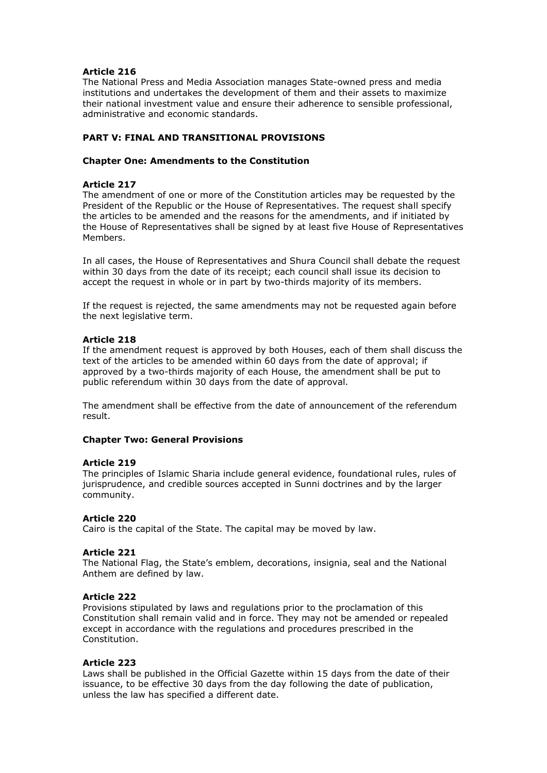The National Press and Media Association manages State-owned press and media institutions and undertakes the development of them and their assets to maximize their national investment value and ensure their adherence to sensible professional, administrative and economic standards.

# **PART V: FINAL AND TRANSITIONAL PROVISIONS**

## **Chapter One: Amendments to the Constitution**

## **Article 217**

The amendment of one or more of the Constitution articles may be requested by the President of the Republic or the House of Representatives. The request shall specify the articles to be amended and the reasons for the amendments, and if initiated by the House of Representatives shall be signed by at least five House of Representatives Members.

In all cases, the House of Representatives and Shura Council shall debate the request within 30 days from the date of its receipt; each council shall issue its decision to accept the request in whole or in part by two-thirds majority of its members.

If the request is rejected, the same amendments may not be requested again before the next legislative term.

# **Article 218**

If the amendment request is approved by both Houses, each of them shall discuss the text of the articles to be amended within 60 days from the date of approval; if approved by a two-thirds majority of each House, the amendment shall be put to public referendum within 30 days from the date of approval.

The amendment shall be effective from the date of announcement of the referendum result.

## **Chapter Two: General Provisions**

## **Article 219**

The principles of Islamic Sharia include general evidence, foundational rules, rules of jurisprudence, and credible sources accepted in Sunni doctrines and by the larger community.

## **Article 220**

Cairo is the capital of the State. The capital may be moved by law.

## **Article 221**

The National Flag, the State's emblem, decorations, insignia, seal and the National Anthem are defined by law.

## **Article 222**

Provisions stipulated by laws and regulations prior to the proclamation of this Constitution shall remain valid and in force. They may not be amended or repealed except in accordance with the regulations and procedures prescribed in the Constitution.

## **Article 223**

Laws shall be published in the Official Gazette within 15 days from the date of their issuance, to be effective 30 days from the day following the date of publication, unless the law has specified a different date.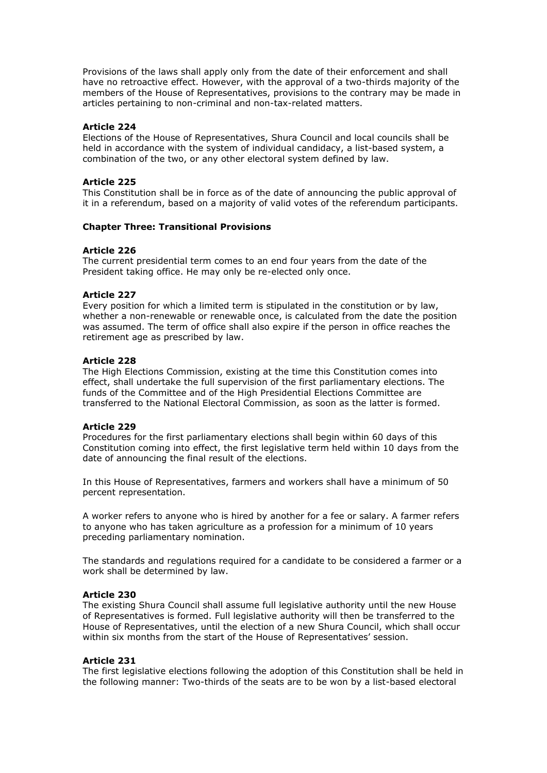Provisions of the laws shall apply only from the date of their enforcement and shall have no retroactive effect. However, with the approval of a two-thirds majority of the members of the House of Representatives, provisions to the contrary may be made in articles pertaining to non-criminal and non-tax-related matters.

# **Article 224**

Elections of the House of Representatives, Shura Council and local councils shall be held in accordance with the system of individual candidacy, a list-based system, a combination of the two, or any other electoral system defined by law.

# **Article 225**

This Constitution shall be in force as of the date of announcing the public approval of it in a referendum, based on a majority of valid votes of the referendum participants.

# **Chapter Three: Transitional Provisions**

# **Article 226**

The current presidential term comes to an end four years from the date of the President taking office. He may only be re-elected only once.

## **Article 227**

Every position for which a limited term is stipulated in the constitution or by law, whether a non-renewable or renewable once, is calculated from the date the position was assumed. The term of office shall also expire if the person in office reaches the retirement age as prescribed by law.

# **Article 228**

The High Elections Commission, existing at the time this Constitution comes into effect, shall undertake the full supervision of the first parliamentary elections. The funds of the Committee and of the High Presidential Elections Committee are transferred to the National Electoral Commission, as soon as the latter is formed.

## **Article 229**

Procedures for the first parliamentary elections shall begin within 60 days of this Constitution coming into effect, the first legislative term held within 10 days from the date of announcing the final result of the elections.

In this House of Representatives, farmers and workers shall have a minimum of 50 percent representation.

A worker refers to anyone who is hired by another for a fee or salary. A farmer refers to anyone who has taken agriculture as a profession for a minimum of 10 years preceding parliamentary nomination.

The standards and regulations required for a candidate to be considered a farmer or a work shall be determined by law.

## **Article 230**

The existing Shura Council shall assume full legislative authority until the new House of Representatives is formed. Full legislative authority will then be transferred to the House of Representatives, until the election of a new Shura Council, which shall occur within six months from the start of the House of Representatives' session.

## **Article 231**

The first legislative elections following the adoption of this Constitution shall be held in the following manner: Two-thirds of the seats are to be won by a list-based electoral